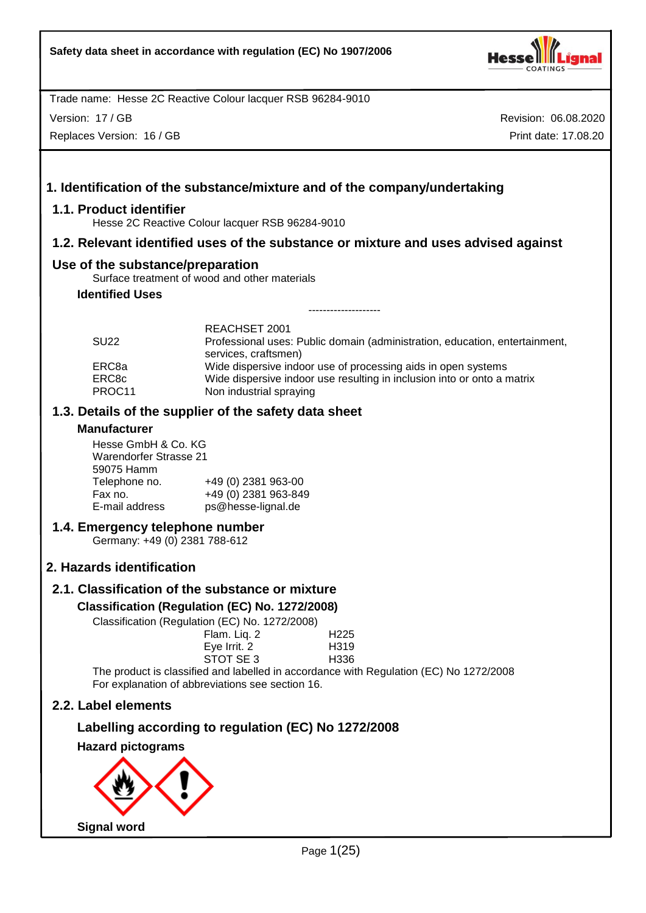

Version: 17 / GB

Replaces Version: 16 / GB

Revision: 06.08.2020 Print date: 17.08.20

# **1. Identification of the substance/mixture and of the company/undertaking**

## **1.1. Product identifier**

Hesse 2C Reactive Colour lacquer RSB 96284-9010

## **1.2. Relevant identified uses of the substance or mixture and uses advised against**

## **Use of the substance/preparation**

Surface treatment of wood and other materials

# **Identified Uses**

| <b>SU22</b>     | REACHSET 2001<br>Professional uses: Public domain (administration, education, entertainment,       |
|-----------------|----------------------------------------------------------------------------------------------------|
| ERC8a           | services, craftsmen)<br>Wide dispersive indoor use of processing aids in open systems              |
| ERC8c<br>PROC11 | Wide dispersive indoor use resulting in inclusion into or onto a matrix<br>Non industrial spraying |

--------------------

## **1.3. Details of the supplier of the safety data sheet**

#### **Manufacturer**

Hesse GmbH & Co. KG Warendorfer Strasse 21 59075 Hamm Telephone no. +49 (0) 2381 963-00<br>Fax no. +49 (0) 2381 963-84 Fax no. +49 (0) 2381 963-849 ps@hesse-lignal.de

## **1.4. Emergency telephone number**

Germany: +49 (0) 2381 788-612

# **2. Hazards identification**

# **2.1. Classification of the substance or mixture**

## **Classification (Regulation (EC) No. 1272/2008)**

Classification (Regulation (EC) No. 1272/2008)

| Flam. Liq. 2                                                                | H <sub>225</sub>  |
|-----------------------------------------------------------------------------|-------------------|
| Eye Irrit. 2                                                                | H <sub>3</sub> 19 |
| STOT SE 3                                                                   | H336              |
| الملازور المتماس والمستوصل والمتاري والمتاري المالي وروانا والتالي والمتعار |                   |

The product is classified and labelled in accordance with Regulation (EC) No 1272/2008 For explanation of abbreviations see section 16.

# **2.2. Label elements**

# **Labelling according to regulation (EC) No 1272/2008**

**Hazard pictograms**

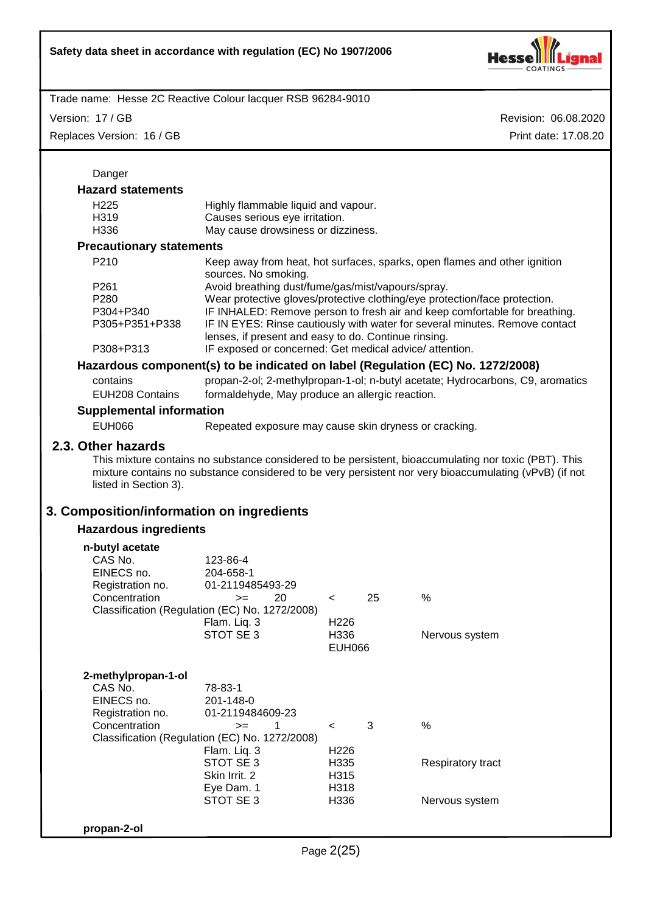

Version: 17 / GB

Replaces Version: 16 / GB

| Danger                                                                                                                                                                                                    |                                                                                                                                                                                                                                                                                                                                                      |                                                             |    |                                                                                                                                                                                                                                        |
|-----------------------------------------------------------------------------------------------------------------------------------------------------------------------------------------------------------|------------------------------------------------------------------------------------------------------------------------------------------------------------------------------------------------------------------------------------------------------------------------------------------------------------------------------------------------------|-------------------------------------------------------------|----|----------------------------------------------------------------------------------------------------------------------------------------------------------------------------------------------------------------------------------------|
| <b>Hazard statements</b>                                                                                                                                                                                  |                                                                                                                                                                                                                                                                                                                                                      |                                                             |    |                                                                                                                                                                                                                                        |
| H <sub>225</sub><br>H319<br>H336                                                                                                                                                                          | Highly flammable liquid and vapour.<br>Causes serious eye irritation.<br>May cause drowsiness or dizziness.                                                                                                                                                                                                                                          |                                                             |    |                                                                                                                                                                                                                                        |
| <b>Precautionary statements</b>                                                                                                                                                                           |                                                                                                                                                                                                                                                                                                                                                      |                                                             |    |                                                                                                                                                                                                                                        |
| P210                                                                                                                                                                                                      | sources. No smoking.                                                                                                                                                                                                                                                                                                                                 |                                                             |    | Keep away from heat, hot surfaces, sparks, open flames and other ignition                                                                                                                                                              |
| P <sub>261</sub><br>P280<br>P304+P340<br>P305+P351+P338                                                                                                                                                   | Avoid breathing dust/fume/gas/mist/vapours/spray.<br>Wear protective gloves/protective clothing/eye protection/face protection.<br>IF INHALED: Remove person to fresh air and keep comfortable for breathing.<br>IF IN EYES: Rinse cautiously with water for several minutes. Remove contact<br>lenses, if present and easy to do. Continue rinsing. |                                                             |    |                                                                                                                                                                                                                                        |
| P308+P313                                                                                                                                                                                                 | IF exposed or concerned: Get medical advice/attention.                                                                                                                                                                                                                                                                                               |                                                             |    |                                                                                                                                                                                                                                        |
|                                                                                                                                                                                                           |                                                                                                                                                                                                                                                                                                                                                      |                                                             |    | Hazardous component(s) to be indicated on label (Regulation (EC) No. 1272/2008)                                                                                                                                                        |
| contains<br><b>EUH208 Contains</b>                                                                                                                                                                        | formaldehyde, May produce an allergic reaction.                                                                                                                                                                                                                                                                                                      |                                                             |    | propan-2-ol; 2-methylpropan-1-ol; n-butyl acetate; Hydrocarbons, C9, aromatics                                                                                                                                                         |
| <b>Supplemental information</b>                                                                                                                                                                           |                                                                                                                                                                                                                                                                                                                                                      |                                                             |    |                                                                                                                                                                                                                                        |
| <b>EUH066</b>                                                                                                                                                                                             | Repeated exposure may cause skin dryness or cracking.                                                                                                                                                                                                                                                                                                |                                                             |    |                                                                                                                                                                                                                                        |
| 2.3. Other hazards<br>listed in Section 3).<br>3. Composition/information on ingredients<br><b>Hazardous ingredients</b><br>n-butyl acetate<br>CAS No.<br>EINECS no.<br>Registration no.<br>Concentration | 123-86-4<br>204-658-1<br>01-2119485493-29<br>20<br>$>=$<br>Classification (Regulation (EC) No. 1272/2008)<br>Flam. Liq. 3<br>STOT SE 3                                                                                                                                                                                                               | $\prec$<br>H <sub>226</sub><br>H336<br><b>EUH066</b>        | 25 | This mixture contains no substance considered to be persistent, bioaccumulating nor toxic (PBT). This<br>mixture contains no substance considered to be very persistent nor very bioaccumulating (vPvB) (if not<br>%<br>Nervous system |
| 2-methylpropan-1-ol<br>CAS No.<br>EINECS no.<br>Registration no.<br>Concentration                                                                                                                         | 78-83-1<br>201-148-0<br>01-2119484609-23<br>1<br>$>=$<br>Classification (Regulation (EC) No. 1272/2008)<br>Flam. Liq. 3<br>STOT SE 3<br>Skin Irrit. 2<br>Eye Dam. 1<br>STOT SE 3                                                                                                                                                                     | $\,<\,$<br>H <sub>226</sub><br>H335<br>H315<br>H318<br>H336 | 3  | $\%$<br>Respiratory tract<br>Nervous system                                                                                                                                                                                            |
| propan-2-ol                                                                                                                                                                                               |                                                                                                                                                                                                                                                                                                                                                      |                                                             |    |                                                                                                                                                                                                                                        |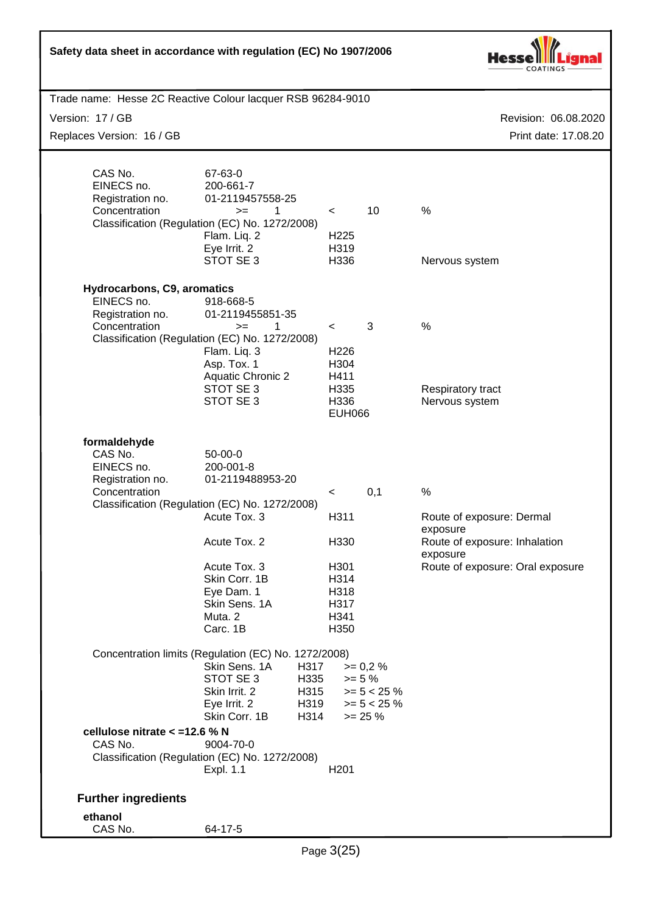| Safety data sheet in accordance with regulation (EC) No 1907/2006                                            |                                                                                                                                                                                                                                                         |                                                                       |                                                                          |                                                                                                                                |
|--------------------------------------------------------------------------------------------------------------|---------------------------------------------------------------------------------------------------------------------------------------------------------------------------------------------------------------------------------------------------------|-----------------------------------------------------------------------|--------------------------------------------------------------------------|--------------------------------------------------------------------------------------------------------------------------------|
| Trade name: Hesse 2C Reactive Colour lacquer RSB 96284-9010<br>Version: 17 / GB<br>Replaces Version: 16 / GB |                                                                                                                                                                                                                                                         |                                                                       |                                                                          | Revision: 06.08.2020<br>Print date: 17.08.20                                                                                   |
| CAS No.<br>EINECS no.<br>Registration no.<br>Concentration                                                   | 67-63-0<br>200-661-7<br>01-2119457558-25<br>1<br>$>=$<br>Classification (Regulation (EC) No. 1272/2008)<br>Flam. Liq. 2<br>Eye Irrit. 2<br>STOT SE 3                                                                                                    | $\,<\,$<br>H <sub>225</sub><br>H319<br>H336                           | 10                                                                       | %<br>Nervous system                                                                                                            |
| Hydrocarbons, C9, aromatics<br>EINECS no.<br>Registration no.<br>Concentration                               | 918-668-5<br>01-2119455851-35<br>1<br>$>=$<br>Classification (Regulation (EC) No. 1272/2008)<br>Flam. Liq. 3<br>Asp. Tox. 1<br><b>Aquatic Chronic 2</b><br>STOT SE 3<br>STOT SE 3                                                                       | $\,<\,$<br>H226<br>H304<br>H411<br>H335<br>H336<br><b>EUH066</b>      | 3                                                                        | $\%$<br>Respiratory tract<br>Nervous system                                                                                    |
| formaldehyde<br>CAS No.<br>EINECS no.<br>Registration no.<br>Concentration                                   | $50-00-0$<br>200-001-8<br>01-2119488953-20<br>Classification (Regulation (EC) No. 1272/2008)<br>Acute Tox. 3<br>Acute Tox. 2<br>Acute Tox. 3<br>Skin Corr. 1B<br>Eye Dam. 1<br>Skin Sens. 1A<br>Muta. 2<br>Carc. 1B                                     | $\,<$<br>H311<br>H330<br>H301<br>H314<br>H318<br>H317<br>H341<br>H350 | 0,1                                                                      | $\%$<br>Route of exposure: Dermal<br>exposure<br>Route of exposure: Inhalation<br>exposure<br>Route of exposure: Oral exposure |
| cellulose nitrate < = 12.6 % N<br>CAS No.<br><b>Further ingredients</b>                                      | Concentration limits (Regulation (EC) No. 1272/2008)<br>Skin Sens. 1A<br>H317<br>STOT SE3<br>H335<br>Skin Irrit. 2<br>H315<br>Eye Irrit. 2<br>H319<br>Skin Corr. 1B<br>H314<br>9004-70-0<br>Classification (Regulation (EC) No. 1272/2008)<br>Expl. 1.1 | H <sub>201</sub>                                                      | $>= 0.2 %$<br>$>= 5 \%$<br>$>= 5 < 25 \%$<br>$>= 5 < 25 \%$<br>$>= 25 %$ |                                                                                                                                |
| ethanol<br>CAS No.                                                                                           | 64-17-5                                                                                                                                                                                                                                                 |                                                                       |                                                                          |                                                                                                                                |

Г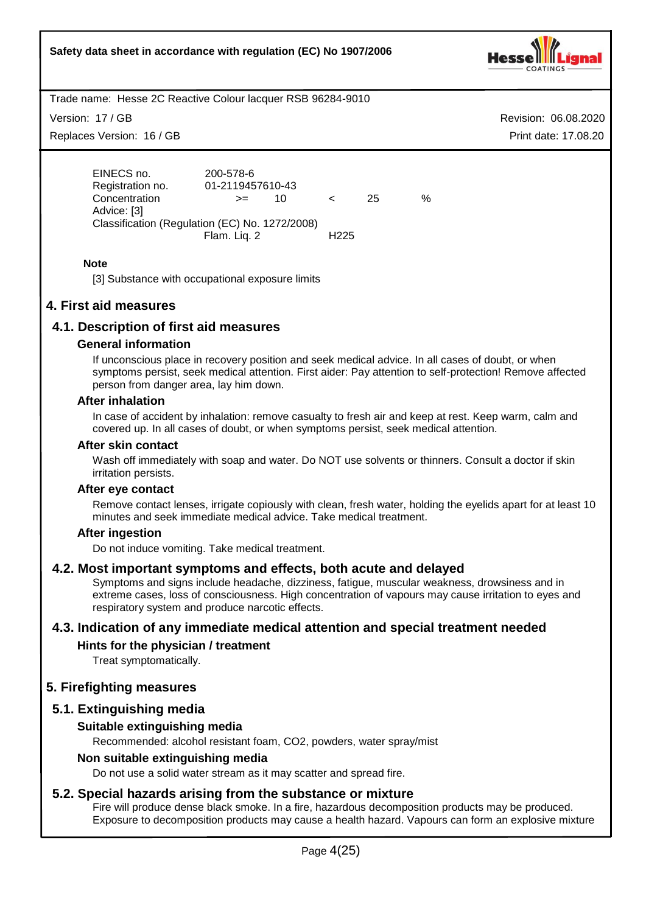

Version: 17 / GB

Replaces Version: 16 / GB

Revision: 06.08.2020 Print date: 17.08.20

EINECS no. 200-578-6 Registration no. 01-2119457610-43 Concentration >= 10 < 25 % Advice: [3] Classification (Regulation (EC) No. 1272/2008) Flam. Liq. 2 H225

## **Note**

[3] Substance with occupational exposure limits

# **4. First aid measures**

# **4.1. Description of first aid measures**

## **General information**

If unconscious place in recovery position and seek medical advice. In all cases of doubt, or when symptoms persist, seek medical attention. First aider: Pay attention to self-protection! Remove affected person from danger area, lay him down.

## **After inhalation**

In case of accident by inhalation: remove casualty to fresh air and keep at rest. Keep warm, calm and covered up. In all cases of doubt, or when symptoms persist, seek medical attention.

#### **After skin contact**

Wash off immediately with soap and water. Do NOT use solvents or thinners. Consult a doctor if skin irritation persists.

## **After eye contact**

Remove contact lenses, irrigate copiously with clean, fresh water, holding the eyelids apart for at least 10 minutes and seek immediate medical advice. Take medical treatment.

## **After ingestion**

Do not induce vomiting. Take medical treatment.

## **4.2. Most important symptoms and effects, both acute and delayed**

Symptoms and signs include headache, dizziness, fatigue, muscular weakness, drowsiness and in extreme cases, loss of consciousness. High concentration of vapours may cause irritation to eyes and respiratory system and produce narcotic effects.

# **4.3. Indication of any immediate medical attention and special treatment needed**

## **Hints for the physician / treatment**

Treat symptomatically.

# **5. Firefighting measures**

# **5.1. Extinguishing media**

# **Suitable extinguishing media**

Recommended: alcohol resistant foam, CO2, powders, water spray/mist

## **Non suitable extinguishing media**

Do not use a solid water stream as it may scatter and spread fire.

# **5.2. Special hazards arising from the substance or mixture**

Fire will produce dense black smoke. In a fire, hazardous decomposition products may be produced. Exposure to decomposition products may cause a health hazard. Vapours can form an explosive mixture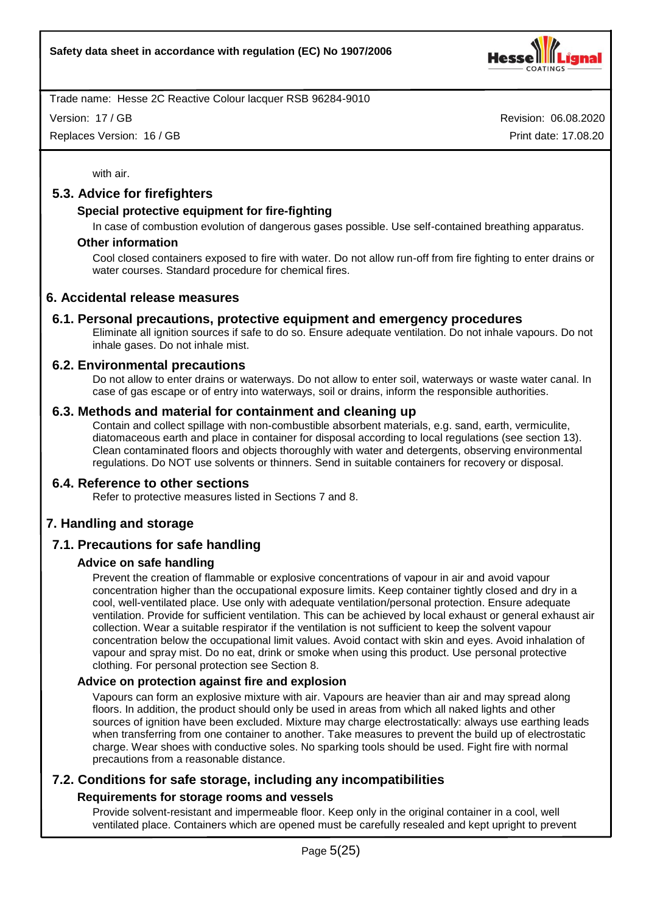

Version: 17 / GB

Replaces Version: 16 / GB

Revision: 06.08.2020 Print date: 17.08.20

with air.

# **5.3. Advice for firefighters**

## **Special protective equipment for fire-fighting**

In case of combustion evolution of dangerous gases possible. Use self-contained breathing apparatus.

#### **Other information**

Cool closed containers exposed to fire with water. Do not allow run-off from fire fighting to enter drains or water courses. Standard procedure for chemical fires.

## **6. Accidental release measures**

## **6.1. Personal precautions, protective equipment and emergency procedures**

Eliminate all ignition sources if safe to do so. Ensure adequate ventilation. Do not inhale vapours. Do not inhale gases. Do not inhale mist.

#### **6.2. Environmental precautions**

Do not allow to enter drains or waterways. Do not allow to enter soil, waterways or waste water canal. In case of gas escape or of entry into waterways, soil or drains, inform the responsible authorities.

#### **6.3. Methods and material for containment and cleaning up**

Contain and collect spillage with non-combustible absorbent materials, e.g. sand, earth, vermiculite, diatomaceous earth and place in container for disposal according to local regulations (see section 13). Clean contaminated floors and objects thoroughly with water and detergents, observing environmental regulations. Do NOT use solvents or thinners. Send in suitable containers for recovery or disposal.

## **6.4. Reference to other sections**

Refer to protective measures listed in Sections 7 and 8.

# **7. Handling and storage**

# **7.1. Precautions for safe handling**

#### **Advice on safe handling**

Prevent the creation of flammable or explosive concentrations of vapour in air and avoid vapour concentration higher than the occupational exposure limits. Keep container tightly closed and dry in a cool, well-ventilated place. Use only with adequate ventilation/personal protection. Ensure adequate ventilation. Provide for sufficient ventilation. This can be achieved by local exhaust or general exhaust air collection. Wear a suitable respirator if the ventilation is not sufficient to keep the solvent vapour concentration below the occupational limit values. Avoid contact with skin and eyes. Avoid inhalation of vapour and spray mist. Do no eat, drink or smoke when using this product. Use personal protective clothing. For personal protection see Section 8.

#### **Advice on protection against fire and explosion**

Vapours can form an explosive mixture with air. Vapours are heavier than air and may spread along floors. In addition, the product should only be used in areas from which all naked lights and other sources of ignition have been excluded. Mixture may charge electrostatically: always use earthing leads when transferring from one container to another. Take measures to prevent the build up of electrostatic charge. Wear shoes with conductive soles. No sparking tools should be used. Fight fire with normal precautions from a reasonable distance.

# **7.2. Conditions for safe storage, including any incompatibilities**

## **Requirements for storage rooms and vessels**

Provide solvent-resistant and impermeable floor. Keep only in the original container in a cool, well ventilated place. Containers which are opened must be carefully resealed and kept upright to prevent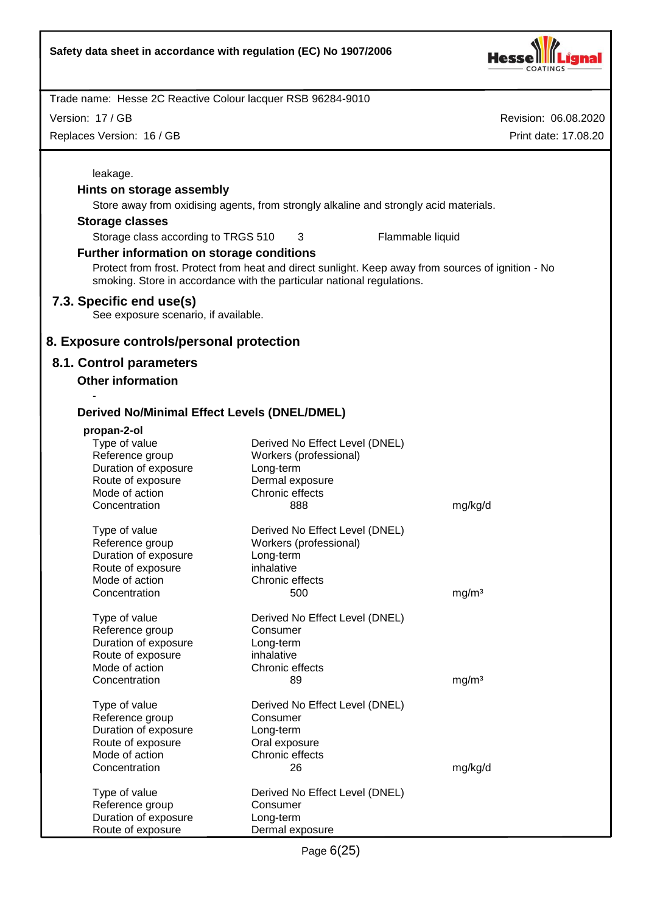

Revision: 06.08.2020

Trade name: Hesse 2C Reactive Colour lacquer RSB 96284-9010

Version: 17 / GB

| Replaces Version: 16 / GB                           |                                                                                                                                                                              | Print date: 17.08.20 |
|-----------------------------------------------------|------------------------------------------------------------------------------------------------------------------------------------------------------------------------------|----------------------|
| leakage.                                            |                                                                                                                                                                              |                      |
| Hints on storage assembly                           |                                                                                                                                                                              |                      |
|                                                     | Store away from oxidising agents, from strongly alkaline and strongly acid materials.                                                                                        |                      |
|                                                     |                                                                                                                                                                              |                      |
| <b>Storage classes</b>                              |                                                                                                                                                                              |                      |
| Storage class according to TRGS 510                 | 3                                                                                                                                                                            | Flammable liquid     |
| Further information on storage conditions           |                                                                                                                                                                              |                      |
|                                                     | Protect from frost. Protect from heat and direct sunlight. Keep away from sources of ignition - No<br>smoking. Store in accordance with the particular national regulations. |                      |
| 7.3. Specific end use(s)                            |                                                                                                                                                                              |                      |
| See exposure scenario, if available.                |                                                                                                                                                                              |                      |
|                                                     |                                                                                                                                                                              |                      |
| 8. Exposure controls/personal protection            |                                                                                                                                                                              |                      |
| 8.1. Control parameters                             |                                                                                                                                                                              |                      |
| <b>Other information</b>                            |                                                                                                                                                                              |                      |
|                                                     |                                                                                                                                                                              |                      |
|                                                     |                                                                                                                                                                              |                      |
| <b>Derived No/Minimal Effect Levels (DNEL/DMEL)</b> |                                                                                                                                                                              |                      |
| propan-2-ol                                         |                                                                                                                                                                              |                      |
| Type of value                                       | Derived No Effect Level (DNEL)                                                                                                                                               |                      |
| Reference group                                     | Workers (professional)                                                                                                                                                       |                      |
| Duration of exposure                                | Long-term                                                                                                                                                                    |                      |
| Route of exposure                                   | Dermal exposure                                                                                                                                                              |                      |
| Mode of action                                      | Chronic effects                                                                                                                                                              |                      |
| Concentration                                       | 888                                                                                                                                                                          | mg/kg/d              |
| Type of value                                       | Derived No Effect Level (DNEL)                                                                                                                                               |                      |
| Reference group                                     | Workers (professional)                                                                                                                                                       |                      |
| Duration of exposure                                | Long-term                                                                                                                                                                    |                      |
| Route of exposure                                   | inhalative                                                                                                                                                                   |                      |
| Mode of action                                      | Chronic effects                                                                                                                                                              |                      |
| Concentration                                       | 500                                                                                                                                                                          | mg/m <sup>3</sup>    |
|                                                     |                                                                                                                                                                              |                      |
| Type of value<br>Reference group                    | Derived No Effect Level (DNEL)<br>Consumer                                                                                                                                   |                      |
| Duration of exposure                                | Long-term                                                                                                                                                                    |                      |
| Route of exposure                                   | inhalative                                                                                                                                                                   |                      |
| Mode of action                                      | Chronic effects                                                                                                                                                              |                      |
| Concentration                                       | 89                                                                                                                                                                           | mg/m <sup>3</sup>    |
|                                                     |                                                                                                                                                                              |                      |
| Type of value                                       | Derived No Effect Level (DNEL)                                                                                                                                               |                      |
| Reference group<br>Duration of exposure             | Consumer                                                                                                                                                                     |                      |
| Route of exposure                                   | Long-term<br>Oral exposure                                                                                                                                                   |                      |
| Mode of action                                      | Chronic effects                                                                                                                                                              |                      |
| Concentration                                       | 26                                                                                                                                                                           | mg/kg/d              |
|                                                     |                                                                                                                                                                              |                      |
| Type of value                                       | Derived No Effect Level (DNEL)                                                                                                                                               |                      |
| Reference group                                     | Consumer                                                                                                                                                                     |                      |
| Duration of exposure                                | Long-term                                                                                                                                                                    |                      |
| Route of exposure                                   | Dermal exposure                                                                                                                                                              |                      |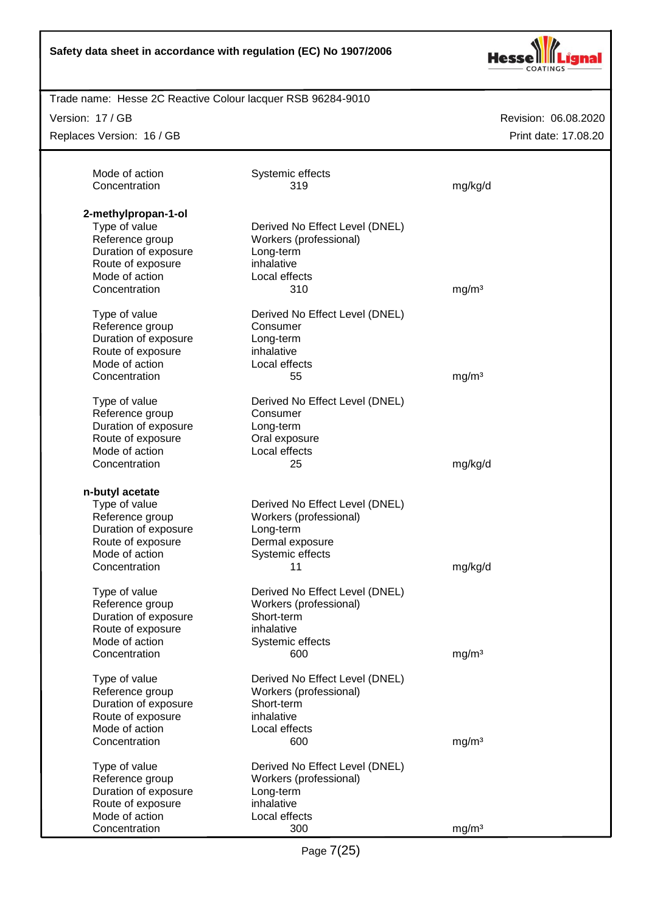

Trade name: Hesse 2C Reactive Colour lacquer RSB 96284-9010

Version: 17 / GB

Replaces Version: 16 / GB

| Mode of action<br>Concentration                                                                                                         | Systemic effects<br>319                                                                                            | mg/kg/d           |
|-----------------------------------------------------------------------------------------------------------------------------------------|--------------------------------------------------------------------------------------------------------------------|-------------------|
| 2-methylpropan-1-ol<br>Type of value<br>Reference group<br>Duration of exposure<br>Route of exposure<br>Mode of action<br>Concentration | Derived No Effect Level (DNEL)<br>Workers (professional)<br>Long-term<br>inhalative<br>Local effects<br>310        | mg/m <sup>3</sup> |
| Type of value<br>Reference group<br>Duration of exposure<br>Route of exposure<br>Mode of action<br>Concentration                        | Derived No Effect Level (DNEL)<br>Consumer<br>Long-term<br>inhalative<br>Local effects<br>55                       | mg/m <sup>3</sup> |
| Type of value<br>Reference group<br>Duration of exposure<br>Route of exposure<br>Mode of action<br>Concentration                        | Derived No Effect Level (DNEL)<br>Consumer<br>Long-term<br>Oral exposure<br>Local effects<br>25                    | mg/kg/d           |
| n-butyl acetate<br>Type of value<br>Reference group<br>Duration of exposure<br>Route of exposure<br>Mode of action<br>Concentration     | Derived No Effect Level (DNEL)<br>Workers (professional)<br>Long-term<br>Dermal exposure<br>Systemic effects<br>11 | mg/kg/d           |
| Type of value<br>Reference group<br>Duration of exposure<br>Route of exposure<br>Mode of action<br>Concentration                        | Derived No Effect Level (DNEL)<br>Workers (professional)<br>Short-term<br>inhalative<br>Systemic effects<br>600    | mg/m <sup>3</sup> |
| Type of value<br>Reference group<br>Duration of exposure<br>Route of exposure<br>Mode of action<br>Concentration                        | Derived No Effect Level (DNEL)<br>Workers (professional)<br>Short-term<br>inhalative<br>Local effects<br>600       | mg/m <sup>3</sup> |
| Type of value<br>Reference group<br>Duration of exposure<br>Route of exposure<br>Mode of action<br>Concentration                        | Derived No Effect Level (DNEL)<br>Workers (professional)<br>Long-term<br>inhalative<br>Local effects<br>300        | mg/m <sup>3</sup> |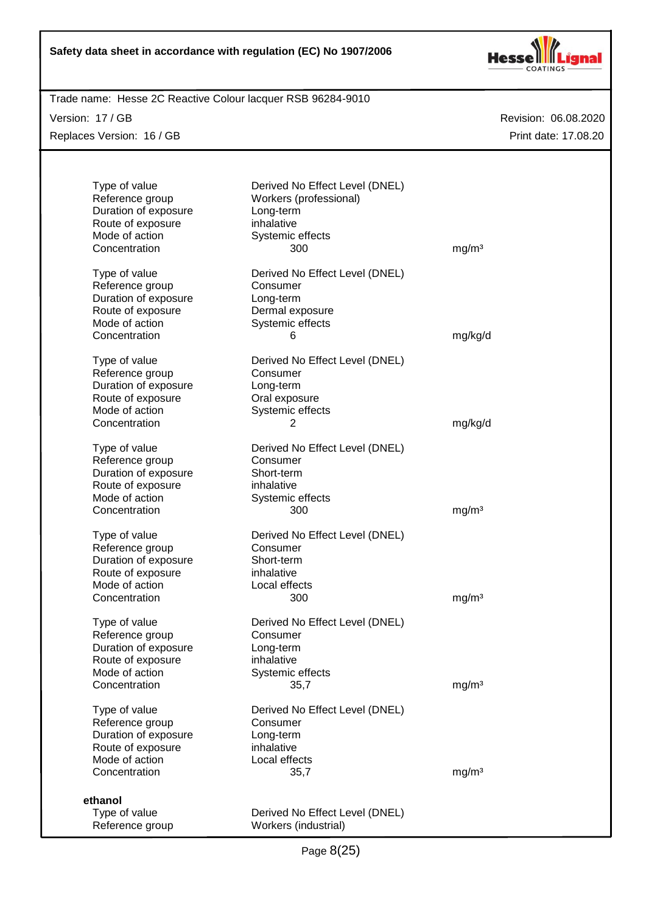

Trade name: Hesse 2C Reactive Colour lacquer RSB 96284-9010

Version: 17 / GB

Replaces Version: 16 / GB

| Type of value<br>Reference group<br>Duration of exposure<br>Route of exposure<br>Mode of action<br>Concentration | Derived No Effect Level (DNEL)<br>Workers (professional)<br>Long-term<br>inhalative<br>Systemic effects<br>300 | mg/m <sup>3</sup> |
|------------------------------------------------------------------------------------------------------------------|----------------------------------------------------------------------------------------------------------------|-------------------|
| Type of value<br>Reference group<br>Duration of exposure<br>Route of exposure<br>Mode of action<br>Concentration | Derived No Effect Level (DNEL)<br>Consumer<br>Long-term<br>Dermal exposure<br>Systemic effects<br>6            | mg/kg/d           |
| Type of value<br>Reference group<br>Duration of exposure<br>Route of exposure<br>Mode of action<br>Concentration | Derived No Effect Level (DNEL)<br>Consumer<br>Long-term<br>Oral exposure<br>Systemic effects<br>2              | mg/kg/d           |
| Type of value<br>Reference group<br>Duration of exposure<br>Route of exposure<br>Mode of action<br>Concentration | Derived No Effect Level (DNEL)<br>Consumer<br>Short-term<br>inhalative<br>Systemic effects<br>300              | mg/m <sup>3</sup> |
| Type of value<br>Reference group<br>Duration of exposure<br>Route of exposure<br>Mode of action<br>Concentration | Derived No Effect Level (DNEL)<br>Consumer<br>Short-term<br>inhalative<br>Local effects<br>300                 | mg/m <sup>3</sup> |
| Type of value<br>Reference group<br>Duration of exposure<br>Route of exposure<br>Mode of action<br>Concentration | Derived No Effect Level (DNEL)<br>Consumer<br>Long-term<br>inhalative<br>Systemic effects<br>35,7              | mg/m <sup>3</sup> |
| Type of value<br>Reference group<br>Duration of exposure<br>Route of exposure<br>Mode of action<br>Concentration | Derived No Effect Level (DNEL)<br>Consumer<br>Long-term<br>inhalative<br>Local effects<br>35,7                 | mg/m <sup>3</sup> |
| ethanol<br>Type of value<br>Reference group                                                                      | Derived No Effect Level (DNEL)<br>Workers (industrial)                                                         |                   |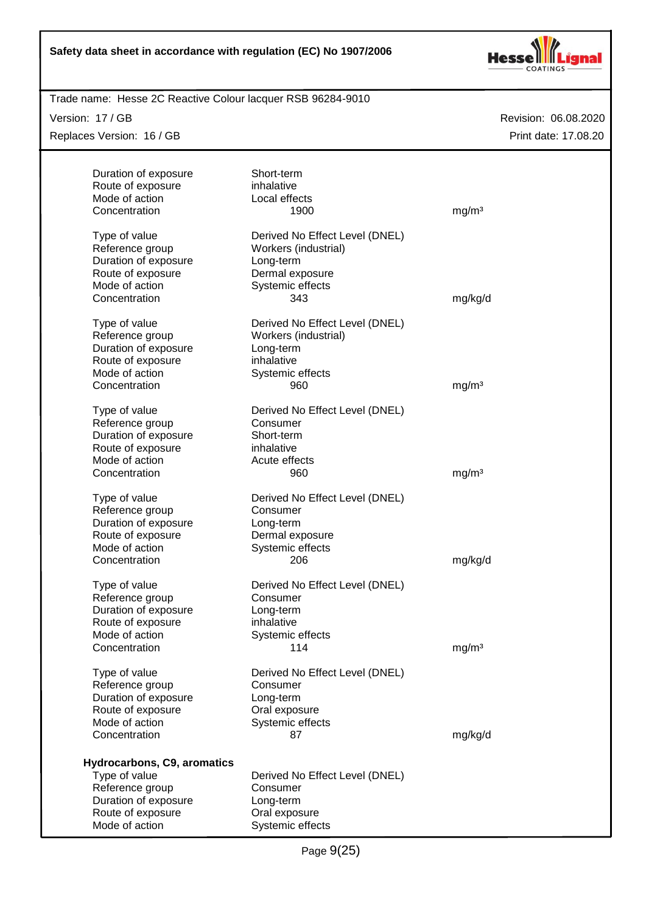

Trade name: Hesse 2C Reactive Colour lacquer RSB 96284-9010

Version: 17 / GB

Replaces Version: 16 / GB

| Duration of exposure                    | Short-term                     |                   |
|-----------------------------------------|--------------------------------|-------------------|
| Route of exposure                       | inhalative                     |                   |
| Mode of action                          | Local effects                  |                   |
| Concentration                           | 1900                           | mg/m <sup>3</sup> |
|                                         |                                |                   |
| Type of value                           | Derived No Effect Level (DNEL) |                   |
| Reference group                         | Workers (industrial)           |                   |
| Duration of exposure                    | Long-term                      |                   |
| Route of exposure<br>Mode of action     | Dermal exposure                |                   |
| Concentration                           | Systemic effects<br>343        | mg/kg/d           |
|                                         |                                |                   |
| Type of value                           | Derived No Effect Level (DNEL) |                   |
| Reference group                         | Workers (industrial)           |                   |
| Duration of exposure                    | Long-term                      |                   |
| Route of exposure                       | inhalative                     |                   |
| Mode of action                          | Systemic effects               |                   |
| Concentration                           | 960                            | mg/m <sup>3</sup> |
|                                         |                                |                   |
| Type of value                           | Derived No Effect Level (DNEL) |                   |
| Reference group                         | Consumer                       |                   |
| Duration of exposure                    | Short-term                     |                   |
| Route of exposure                       | inhalative                     |                   |
| Mode of action                          | Acute effects                  |                   |
| Concentration                           | 960                            | mg/m <sup>3</sup> |
| Type of value                           | Derived No Effect Level (DNEL) |                   |
| Reference group                         | Consumer                       |                   |
| Duration of exposure                    | Long-term                      |                   |
| Route of exposure                       | Dermal exposure                |                   |
| Mode of action                          | Systemic effects               |                   |
| Concentration                           | 206                            | mg/kg/d           |
|                                         |                                |                   |
| Type of value                           | Derived No Effect Level (DNEL) |                   |
| Reference group<br>Duration of exposure | Consumer                       |                   |
| Route of exposure                       | Long-term<br>inhalative        |                   |
| Mode of action                          | Systemic effects               |                   |
| Concentration                           | 114                            | mg/m <sup>3</sup> |
|                                         |                                |                   |
| Type of value                           | Derived No Effect Level (DNEL) |                   |
| Reference group                         | Consumer                       |                   |
| Duration of exposure                    | Long-term                      |                   |
| Route of exposure                       | Oral exposure                  |                   |
| Mode of action                          | Systemic effects               |                   |
| Concentration                           | 87                             | mg/kg/d           |
|                                         |                                |                   |
| Hydrocarbons, C9, aromatics             |                                |                   |
| Type of value                           | Derived No Effect Level (DNEL) |                   |
| Reference group<br>Duration of exposure | Consumer<br>Long-term          |                   |
| Route of exposure                       | Oral exposure                  |                   |
| Mode of action                          | Systemic effects               |                   |
|                                         |                                |                   |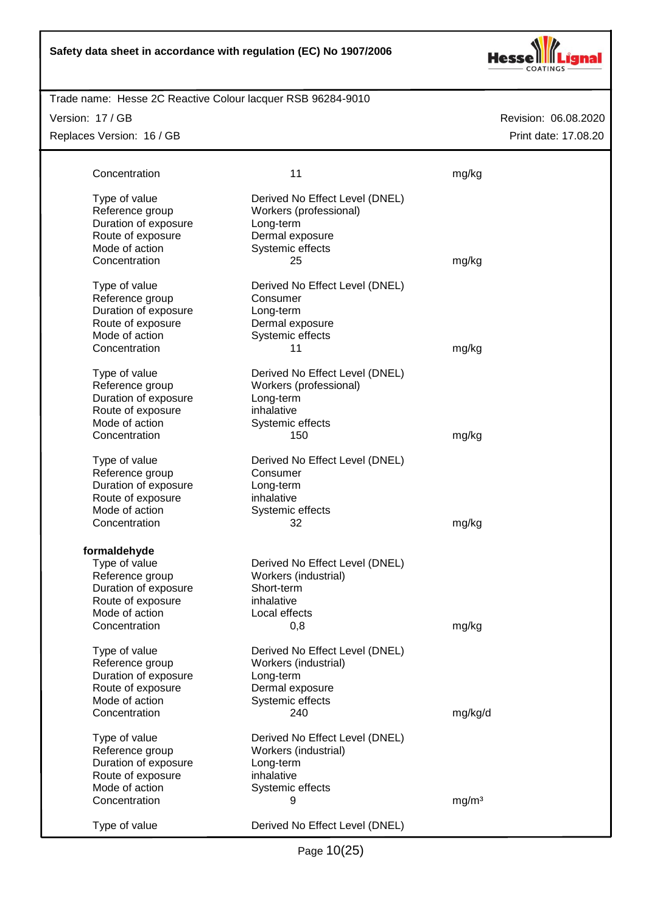

## Trade name: Hesse 2C Reactive Colour lacquer RSB 96284-9010

Version: 17 / GB

Replaces Version: 16 / GB

| Concentration                                                                                                                                     | 11                                                                                                                                           | mg/kg             |
|---------------------------------------------------------------------------------------------------------------------------------------------------|----------------------------------------------------------------------------------------------------------------------------------------------|-------------------|
| Type of value<br>Reference group<br>Duration of exposure<br>Route of exposure<br>Mode of action<br>Concentration                                  | Derived No Effect Level (DNEL)<br>Workers (professional)<br>Long-term<br>Dermal exposure<br>Systemic effects<br>25                           | mg/kg             |
| Type of value<br>Reference group<br>Duration of exposure<br>Route of exposure<br>Mode of action                                                   | Derived No Effect Level (DNEL)<br>Consumer<br>Long-term<br>Dermal exposure<br>Systemic effects                                               |                   |
| Concentration<br>Type of value<br>Reference group<br>Duration of exposure<br>Route of exposure<br>Mode of action                                  | 11<br>Derived No Effect Level (DNEL)<br>Workers (professional)<br>Long-term<br>inhalative<br>Systemic effects                                | mg/kg             |
| Concentration<br>Type of value<br>Reference group<br>Duration of exposure<br>Route of exposure<br>Mode of action                                  | 150<br>Derived No Effect Level (DNEL)<br>Consumer<br>Long-term<br>inhalative<br>Systemic effects                                             | mg/kg             |
| Concentration<br>formaldehyde<br>Type of value<br>Reference group<br>Duration of exposure<br>Route of exposure<br>Mode of action<br>Concentration | 32<br>Derived No Effect Level (DNEL)<br>Workers (industrial)<br>Short-term<br>inhalative<br>Local effects<br>0,8                             | mg/kg<br>mg/kg    |
| Type of value<br>Reference group<br>Duration of exposure<br>Route of exposure<br>Mode of action<br>Concentration                                  | Derived No Effect Level (DNEL)<br>Workers (industrial)<br>Long-term<br>Dermal exposure<br>Systemic effects<br>240                            | mg/kg/d           |
| Type of value<br>Reference group<br>Duration of exposure<br>Route of exposure<br>Mode of action<br>Concentration<br>Type of value                 | Derived No Effect Level (DNEL)<br>Workers (industrial)<br>Long-term<br>inhalative<br>Systemic effects<br>9<br>Derived No Effect Level (DNEL) | mg/m <sup>3</sup> |
|                                                                                                                                                   |                                                                                                                                              |                   |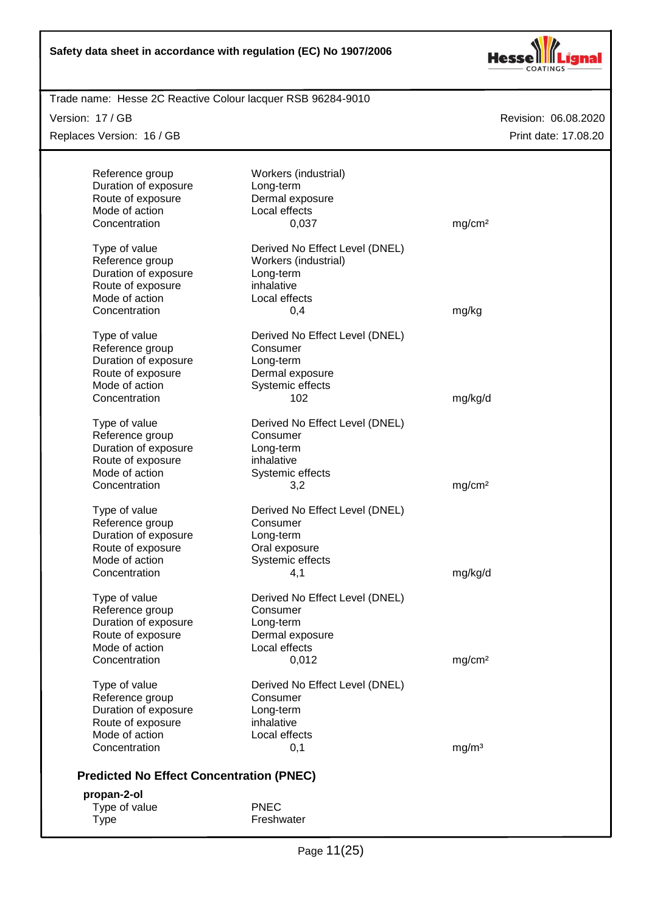

Trade name: Hesse 2C Reactive Colour lacquer RSB 96284-9010

Version: 17 / GB

Replaces Version: 16 / GB

| Reference group                                 | Workers (industrial)           |                    |
|-------------------------------------------------|--------------------------------|--------------------|
| Duration of exposure                            | Long-term                      |                    |
| Route of exposure                               | Dermal exposure                |                    |
| Mode of action                                  | Local effects                  |                    |
| Concentration                                   | 0,037                          | mg/cm <sup>2</sup> |
| Type of value                                   | Derived No Effect Level (DNEL) |                    |
| Reference group                                 | Workers (industrial)           |                    |
| Duration of exposure                            | Long-term                      |                    |
| Route of exposure                               | inhalative                     |                    |
| Mode of action                                  | Local effects                  |                    |
| Concentration                                   | 0,4                            | mg/kg              |
| Type of value                                   | Derived No Effect Level (DNEL) |                    |
| Reference group                                 | Consumer                       |                    |
| Duration of exposure                            | Long-term                      |                    |
| Route of exposure                               | Dermal exposure                |                    |
| Mode of action                                  | Systemic effects               |                    |
| Concentration                                   | 102                            | mg/kg/d            |
|                                                 |                                |                    |
| Type of value                                   | Derived No Effect Level (DNEL) |                    |
| Reference group                                 | Consumer                       |                    |
| Duration of exposure                            | Long-term                      |                    |
| Route of exposure                               | inhalative                     |                    |
| Mode of action                                  | Systemic effects               |                    |
| Concentration                                   | 3,2                            | mg/cm <sup>2</sup> |
| Type of value                                   | Derived No Effect Level (DNEL) |                    |
| Reference group                                 | Consumer                       |                    |
| Duration of exposure                            | Long-term                      |                    |
| Route of exposure                               | Oral exposure                  |                    |
| Mode of action                                  | Systemic effects               |                    |
| Concentration                                   | 4,1                            | mg/kg/d            |
| Type of value                                   | Derived No Effect Level (DNEL) |                    |
| Reference group                                 | Consumer                       |                    |
| Duration of exposure                            | Long-term                      |                    |
| Route of exposure                               | Dermal exposure                |                    |
| Mode of action                                  | Local effects                  |                    |
| Concentration                                   | 0,012                          | mg/cm <sup>2</sup> |
|                                                 |                                |                    |
| Type of value                                   | Derived No Effect Level (DNEL) |                    |
| Reference group                                 | Consumer                       |                    |
| Duration of exposure                            | Long-term                      |                    |
| Route of exposure                               | inhalative                     |                    |
| Mode of action                                  | Local effects                  |                    |
| Concentration                                   | 0,1                            | mg/m <sup>3</sup>  |
| <b>Predicted No Effect Concentration (PNEC)</b> |                                |                    |
| propan-2-ol                                     |                                |                    |
| Type of value                                   | <b>PNEC</b>                    |                    |
| <b>Type</b>                                     | Freshwater                     |                    |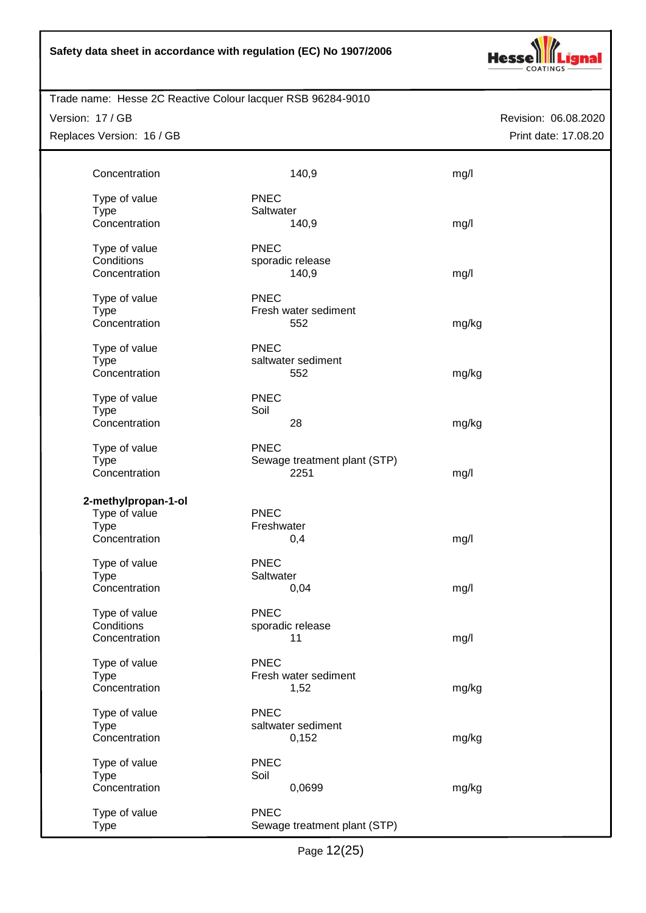

Trade name: Hesse 2C Reactive Colour lacquer RSB 96284-9010

Version: 17 / GB Replaces Version: 16 / GB Revision: 06.08.2020 Print date: 17.08.20

| Concentration                | 140,9                        | mg/l  |
|------------------------------|------------------------------|-------|
|                              |                              |       |
| Type of value<br><b>Type</b> | <b>PNEC</b><br>Saltwater     |       |
| Concentration                | 140,9                        | mg/l  |
|                              |                              |       |
| Type of value                | <b>PNEC</b>                  |       |
| Conditions                   | sporadic release             |       |
| Concentration                | 140,9                        | mg/l  |
|                              |                              |       |
| Type of value                | <b>PNEC</b>                  |       |
| <b>Type</b><br>Concentration | Fresh water sediment<br>552  |       |
|                              |                              | mg/kg |
| Type of value                | <b>PNEC</b>                  |       |
| <b>Type</b>                  | saltwater sediment           |       |
| Concentration                | 552                          | mg/kg |
|                              |                              |       |
| Type of value                | <b>PNEC</b>                  |       |
| <b>Type</b>                  | Soil                         |       |
| Concentration                | 28                           | mg/kg |
| Type of value                | <b>PNEC</b>                  |       |
| <b>Type</b>                  | Sewage treatment plant (STP) |       |
| Concentration                | 2251                         | mg/l  |
|                              |                              |       |
| 2-methylpropan-1-ol          |                              |       |
| Type of value                | <b>PNEC</b>                  |       |
| <b>Type</b>                  | Freshwater                   |       |
| Concentration                | 0,4                          | mg/l  |
| Type of value                | <b>PNEC</b>                  |       |
| <b>Type</b>                  | Saltwater                    |       |
| Concentration                | 0,04                         | mg/l  |
|                              |                              |       |
| Type of value                | <b>PNEC</b>                  |       |
| Conditions                   | sporadic release             |       |
| Concentration                | 11                           | mg/l  |
|                              | <b>PNEC</b>                  |       |
| Type of value<br><b>Type</b> | Fresh water sediment         |       |
| Concentration                | 1,52                         | mg/kg |
|                              |                              |       |
| Type of value                | <b>PNEC</b>                  |       |
| <b>Type</b>                  | saltwater sediment           |       |
| Concentration                | 0,152                        | mg/kg |
|                              | <b>PNEC</b>                  |       |
| Type of value<br><b>Type</b> | Soil                         |       |
| Concentration                | 0,0699                       | mg/kg |
|                              |                              |       |
| Type of value                | <b>PNEC</b>                  |       |
| <b>Type</b>                  | Sewage treatment plant (STP) |       |

Page 12(25)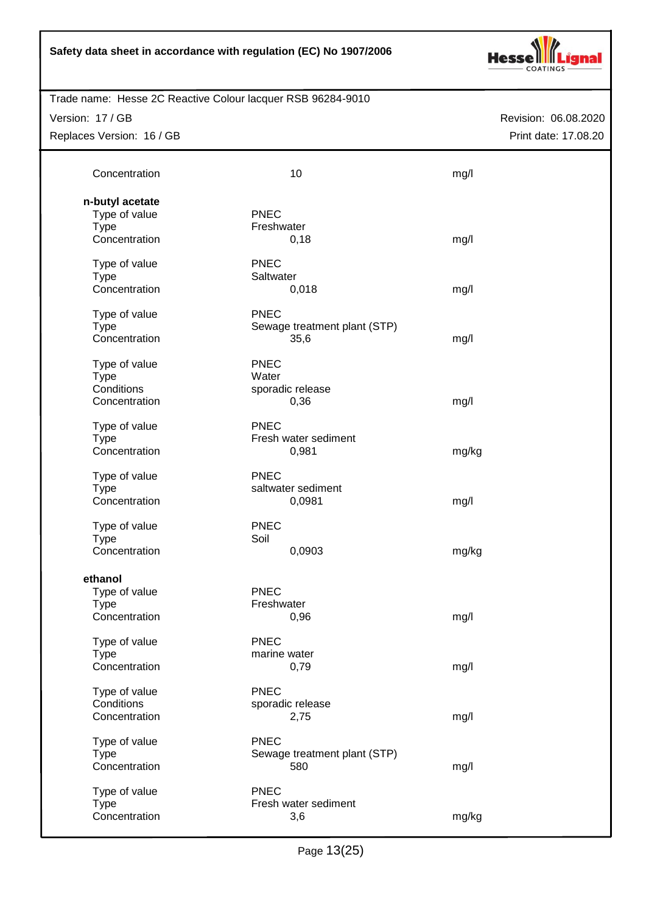

Trade name: Hesse 2C Reactive Colour lacquer RSB 96284-9010

Version: 17 / GB

Replaces Version: 16 / GB

| Concentration                                 | 10                                           | mg/l  |
|-----------------------------------------------|----------------------------------------------|-------|
| n-butyl acetate<br>Type of value              | <b>PNEC</b>                                  |       |
| <b>Type</b><br>Concentration                  | Freshwater<br>0,18                           | mg/l  |
| Type of value<br><b>Type</b><br>Concentration | <b>PNEC</b><br>Saltwater                     |       |
| Type of value                                 | 0,018<br><b>PNEC</b>                         | mg/l  |
| <b>Type</b><br>Concentration                  | Sewage treatment plant (STP)<br>35,6         | mg/l  |
| Type of value<br><b>Type</b>                  | <b>PNEC</b><br>Water                         |       |
| Conditions<br>Concentration                   | sporadic release<br>0,36                     | mg/l  |
| Type of value<br><b>Type</b><br>Concentration | <b>PNEC</b><br>Fresh water sediment<br>0,981 | mg/kg |
| Type of value                                 | <b>PNEC</b>                                  |       |
| <b>Type</b><br>Concentration                  | saltwater sediment<br>0,0981                 | mg/l  |
| Type of value<br><b>Type</b>                  | <b>PNEC</b><br>Soil                          |       |
| Concentration                                 | 0,0903                                       | mg/kg |
| ethanol<br>Type of value                      | <b>PNEC</b>                                  |       |
| <b>Type</b><br>Concentration                  | Freshwater<br>0,96                           | mg/l  |
| Type of value<br><b>Type</b>                  | <b>PNEC</b><br>marine water                  |       |
| Concentration                                 | 0,79                                         | mg/l  |
| Type of value<br>Conditions<br>Concentration  | <b>PNEC</b><br>sporadic release<br>2,75      | mg/l  |
| Type of value<br><b>Type</b>                  | <b>PNEC</b><br>Sewage treatment plant (STP)  |       |
| Concentration                                 | 580                                          | mg/l  |
| Type of value<br><b>Type</b>                  | <b>PNEC</b><br>Fresh water sediment          |       |
| Concentration                                 | 3,6                                          | mg/kg |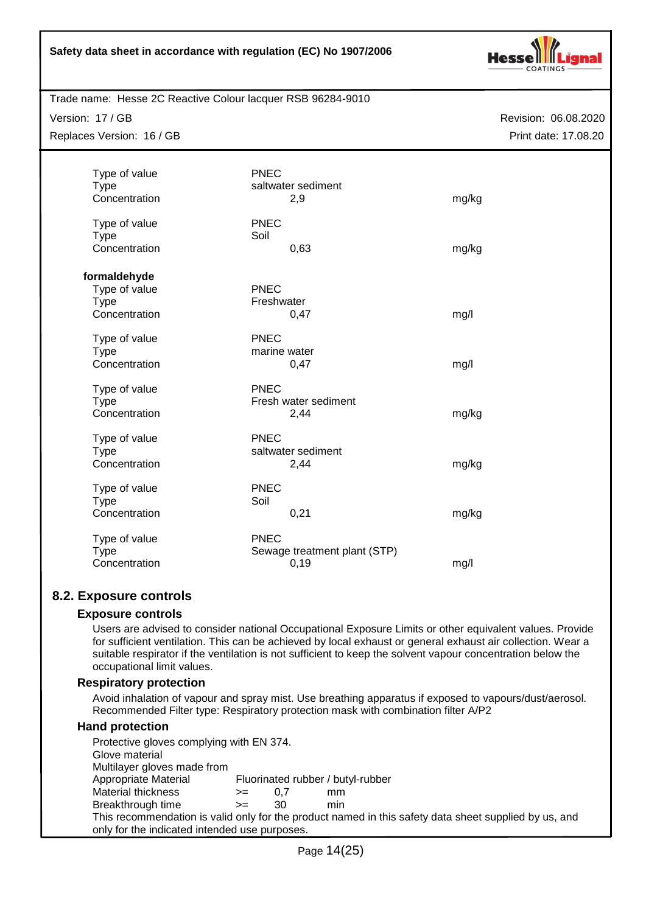

Trade name: Hesse 2C Reactive Colour lacquer RSB 96284-9010

Version: 17 / GB

Replaces Version: 16 / GB

Revision: 06.08.2020 Print date: 17.08.20

| Type of value<br><b>Type</b> | <b>PNEC</b><br>saltwater sediment |       |
|------------------------------|-----------------------------------|-------|
| Concentration                | 2,9                               | mg/kg |
|                              |                                   |       |
| Type of value                | <b>PNEC</b>                       |       |
| <b>Type</b>                  | Soil                              |       |
| Concentration                | 0,63                              | mg/kg |
| formaldehyde                 |                                   |       |
| Type of value                | <b>PNEC</b>                       |       |
| <b>Type</b>                  | Freshwater                        |       |
| Concentration                | 0,47                              | mg/l  |
| Type of value                | <b>PNEC</b>                       |       |
| <b>Type</b>                  | marine water                      |       |
| Concentration                | 0,47                              | mg/l  |
| Type of value                | <b>PNEC</b>                       |       |
| <b>Type</b>                  | Fresh water sediment              |       |
| Concentration                | 2,44                              | mg/kg |
| Type of value                | PNEC                              |       |
| <b>Type</b>                  | saltwater sediment                |       |
| Concentration                | 2,44                              | mg/kg |
| Type of value                | PNEC                              |       |
| <b>Type</b>                  | Soil                              |       |
| Concentration                | 0,21                              | mg/kg |
| Type of value                | <b>PNEC</b>                       |       |
| <b>Type</b>                  | Sewage treatment plant (STP)      |       |
| Concentration                | 0,19                              | mg/l  |

# **8.2. Exposure controls**

## **Exposure controls**

Users are advised to consider national Occupational Exposure Limits or other equivalent values. Provide for sufficient ventilation. This can be achieved by local exhaust or general exhaust air collection. Wear a suitable respirator if the ventilation is not sufficient to keep the solvent vapour concentration below the occupational limit values.

## **Respiratory protection**

Avoid inhalation of vapour and spray mist. Use breathing apparatus if exposed to vapours/dust/aerosol. Recommended Filter type: Respiratory protection mask with combination filter A/P2

## **Hand protection**

| Protective gloves complying with EN 374.      |      |     |                                                                                                       |
|-----------------------------------------------|------|-----|-------------------------------------------------------------------------------------------------------|
| Glove material                                |      |     |                                                                                                       |
| Multilayer gloves made from                   |      |     |                                                                                                       |
| Appropriate Material                          |      |     | Fluorinated rubber / butyl-rubber                                                                     |
| Material thickness                            | $>=$ | 0.7 | mm                                                                                                    |
| Breakthrough time                             | $>=$ | 30  | min                                                                                                   |
|                                               |      |     | This recommendation is valid only for the product named in this safety data sheet supplied by us, and |
| only for the indicated intended use purposes. |      |     |                                                                                                       |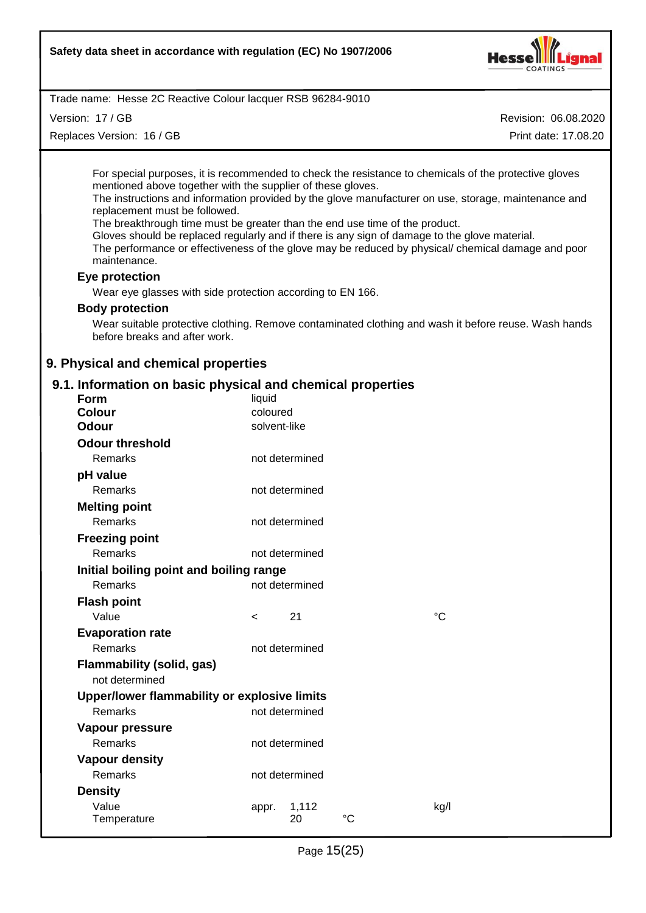

Version: 17 / GB

Replaces Version: 16 / GB

Revision: 06.08.2020

Print date: 17.08.20

For special purposes, it is recommended to check the resistance to chemicals of the protective gloves mentioned above together with the supplier of these gloves.

The instructions and information provided by the glove manufacturer on use, storage, maintenance and replacement must be followed.

The breakthrough time must be greater than the end use time of the product.

Gloves should be replaced regularly and if there is any sign of damage to the glove material. The performance or effectiveness of the glove may be reduced by physical/ chemical damage and poor

maintenance.

#### **Eye protection**

Wear eye glasses with side protection according to EN 166.

#### **Body protection**

Wear suitable protective clothing. Remove contaminated clothing and wash it before reuse. Wash hands before breaks and after work.

## **9. Physical and chemical properties**

# **9.1. Information on basic physical and chemical properties**

| Form                                         | liquid       |                |             |      |
|----------------------------------------------|--------------|----------------|-------------|------|
| <b>Colour</b>                                | coloured     |                |             |      |
| Odour                                        | solvent-like |                |             |      |
| <b>Odour threshold</b>                       |              |                |             |      |
| Remarks                                      |              | not determined |             |      |
| pH value                                     |              |                |             |      |
| Remarks                                      |              | not determined |             |      |
| <b>Melting point</b>                         |              |                |             |      |
| Remarks                                      |              | not determined |             |      |
| <b>Freezing point</b>                        |              |                |             |      |
| <b>Remarks</b>                               |              | not determined |             |      |
| Initial boiling point and boiling range      |              |                |             |      |
| Remarks                                      |              | not determined |             |      |
| <b>Flash point</b>                           |              |                |             |      |
| Value                                        | $\,<\,$      | 21             |             | °C   |
| <b>Evaporation rate</b>                      |              |                |             |      |
| <b>Remarks</b>                               |              | not determined |             |      |
| <b>Flammability (solid, gas)</b>             |              |                |             |      |
| not determined                               |              |                |             |      |
| Upper/lower flammability or explosive limits |              |                |             |      |
| Remarks                                      |              | not determined |             |      |
| Vapour pressure                              |              |                |             |      |
| Remarks                                      |              | not determined |             |      |
| <b>Vapour density</b>                        |              |                |             |      |
| Remarks                                      |              | not determined |             |      |
| <b>Density</b>                               |              |                |             |      |
| Value                                        | appr.        | 1,112          |             | kg/l |
| Temperature                                  |              | 20             | $^{\circ}C$ |      |
|                                              |              |                |             |      |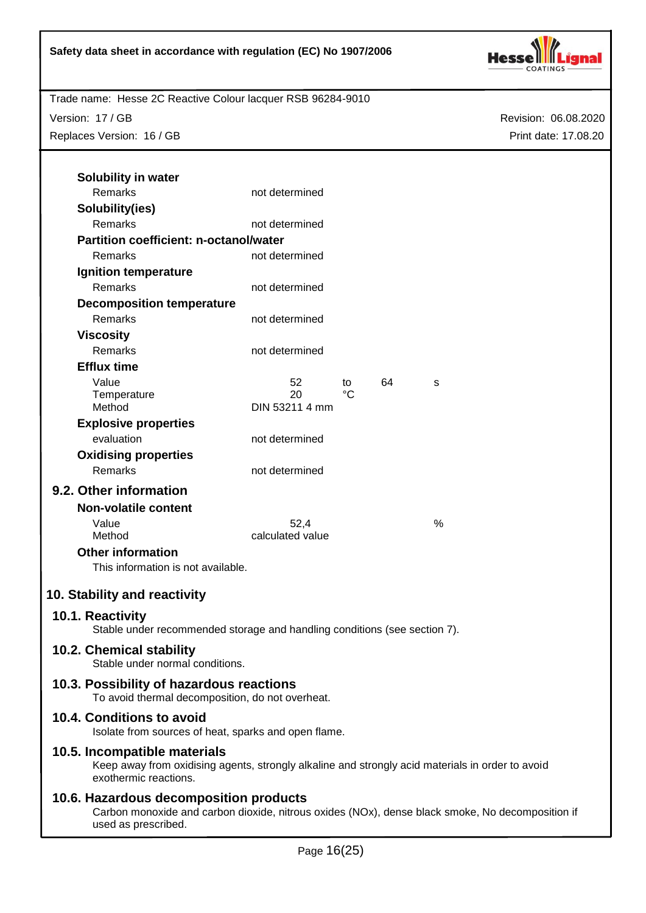

Version: 17 / GB Replaces Version: 16 / GB Revision: 06.08.2020 Print date: 17.08.20

| Solubility in water                                                                           |                      |    |    |      |
|-----------------------------------------------------------------------------------------------|----------------------|----|----|------|
| Remarks                                                                                       | not determined       |    |    |      |
| Solubility(ies)                                                                               |                      |    |    |      |
| Remarks                                                                                       | not determined       |    |    |      |
| <b>Partition coefficient: n-octanol/water</b>                                                 |                      |    |    |      |
| Remarks                                                                                       | not determined       |    |    |      |
| Ignition temperature                                                                          |                      |    |    |      |
| <b>Remarks</b>                                                                                | not determined       |    |    |      |
| <b>Decomposition temperature</b>                                                              |                      |    |    |      |
| Remarks                                                                                       | not determined       |    |    |      |
| <b>Viscosity</b>                                                                              |                      |    |    |      |
| Remarks                                                                                       | not determined       |    |    |      |
| <b>Efflux time</b>                                                                            |                      |    |    |      |
| Value                                                                                         | 52                   | to | 64 | S    |
| Temperature<br>Method                                                                         | 20<br>DIN 53211 4 mm | °C |    |      |
|                                                                                               |                      |    |    |      |
| <b>Explosive properties</b><br>evaluation                                                     |                      |    |    |      |
|                                                                                               | not determined       |    |    |      |
| <b>Oxidising properties</b><br>Remarks                                                        | not determined       |    |    |      |
|                                                                                               |                      |    |    |      |
| 9.2. Other information                                                                        |                      |    |    |      |
| <b>Non-volatile content</b>                                                                   |                      |    |    |      |
| Value                                                                                         | 52.4                 |    |    | $\%$ |
| Method                                                                                        | calculated value     |    |    |      |
| <b>Other information</b><br>This information is not available.                                |                      |    |    |      |
|                                                                                               |                      |    |    |      |
| 10. Stability and reactivity                                                                  |                      |    |    |      |
| 10.1. Reactivity<br>Stable under recommended storage and handling conditions (see section 7). |                      |    |    |      |
| 10.2. Chemical stability<br>Stable under normal conditions.                                   |                      |    |    |      |
| 10.3. Possibility of hazardous reactions                                                      |                      |    |    |      |
| To avoid thermal decomposition, do not overheat.                                              |                      |    |    |      |
|                                                                                               |                      |    |    |      |

## **10.4. Conditions to avoid**

Isolate from sources of heat, sparks and open flame.

# **10.5. Incompatible materials**

Keep away from oxidising agents, strongly alkaline and strongly acid materials in order to avoid exothermic reactions.

# **10.6. Hazardous decomposition products**

Carbon monoxide and carbon dioxide, nitrous oxides (NOx), dense black smoke, No decomposition if used as prescribed.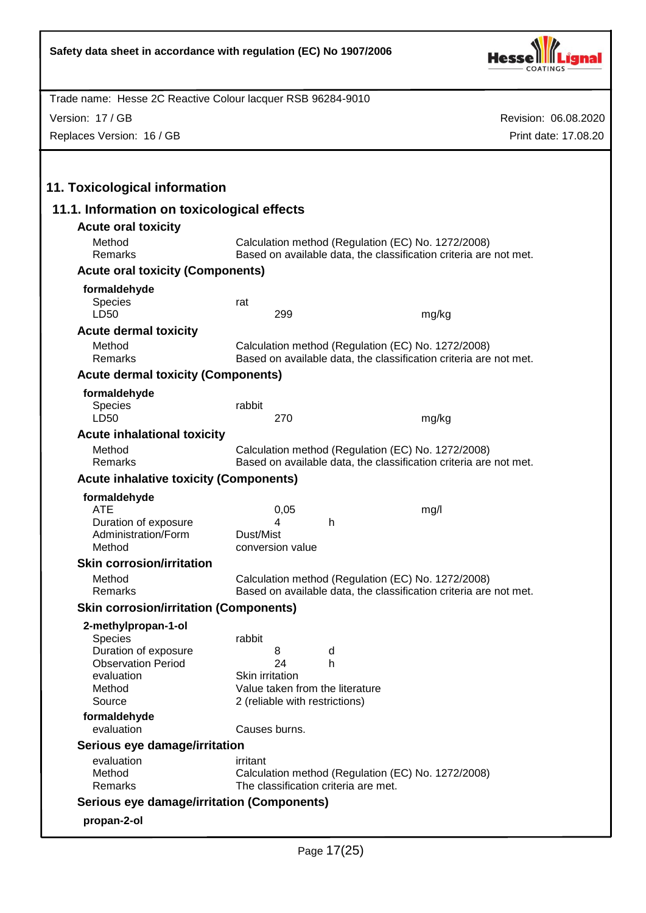

Version: 17 / GB

Replaces Version: 16 / GB

| 11.1. Information on toxicological effects                                                     |                           |                                                                                                                         |                                                                             |                                                                                                                         |
|------------------------------------------------------------------------------------------------|---------------------------|-------------------------------------------------------------------------------------------------------------------------|-----------------------------------------------------------------------------|-------------------------------------------------------------------------------------------------------------------------|
| <b>Acute oral toxicity</b>                                                                     |                           |                                                                                                                         |                                                                             |                                                                                                                         |
| Method<br>Remarks                                                                              |                           | Calculation method (Regulation (EC) No. 1272/2008)<br>Based on available data, the classification criteria are not met. |                                                                             |                                                                                                                         |
| <b>Acute oral toxicity (Components)</b>                                                        |                           |                                                                                                                         |                                                                             |                                                                                                                         |
| formaldehyde<br><b>Species</b><br>LD50                                                         | rat                       | 299                                                                                                                     |                                                                             | mg/kg                                                                                                                   |
| <b>Acute dermal toxicity</b>                                                                   |                           |                                                                                                                         |                                                                             |                                                                                                                         |
| Method<br>Remarks                                                                              |                           |                                                                                                                         |                                                                             | Calculation method (Regulation (EC) No. 1272/2008)<br>Based on available data, the classification criteria are not met. |
| <b>Acute dermal toxicity (Components)</b>                                                      |                           |                                                                                                                         |                                                                             |                                                                                                                         |
| formaldehyde<br><b>Species</b><br>LD50                                                         | rabbit                    | 270                                                                                                                     |                                                                             | mg/kg                                                                                                                   |
| <b>Acute inhalational toxicity</b>                                                             |                           |                                                                                                                         |                                                                             |                                                                                                                         |
| Method<br>Remarks                                                                              |                           |                                                                                                                         |                                                                             | Calculation method (Regulation (EC) No. 1272/2008)<br>Based on available data, the classification criteria are not met. |
| <b>Acute inhalative toxicity (Components)</b>                                                  |                           |                                                                                                                         |                                                                             |                                                                                                                         |
| formaldehyde                                                                                   |                           |                                                                                                                         |                                                                             |                                                                                                                         |
| <b>ATE</b><br>Duration of exposure<br>Administration/Form<br>Method                            | Dust/Mist                 | 0,05<br>4<br>conversion value                                                                                           | h.                                                                          | mg/l                                                                                                                    |
| <b>Skin corrosion/irritation</b>                                                               |                           |                                                                                                                         |                                                                             |                                                                                                                         |
| Method<br>Remarks                                                                              |                           |                                                                                                                         |                                                                             | Calculation method (Regulation (EC) No. 1272/2008)<br>Based on available data, the classification criteria are not met. |
| <b>Skin corrosion/irritation (Components)</b>                                                  |                           |                                                                                                                         |                                                                             |                                                                                                                         |
| 2-methylpropan-1-ol                                                                            |                           |                                                                                                                         |                                                                             |                                                                                                                         |
| Species<br>Duration of exposure<br><b>Observation Period</b><br>evaluation<br>Method<br>Source | rabbit<br>Skin irritation | 8<br>24                                                                                                                 | d<br>h<br>Value taken from the literature<br>2 (reliable with restrictions) |                                                                                                                         |
| formaldehyde<br>evaluation                                                                     |                           | Causes burns.                                                                                                           |                                                                             |                                                                                                                         |
| Serious eye damage/irritation                                                                  |                           |                                                                                                                         |                                                                             |                                                                                                                         |
| evaluation<br>Method<br>Remarks                                                                | irritant                  |                                                                                                                         | The classification criteria are met.                                        | Calculation method (Regulation (EC) No. 1272/2008)                                                                      |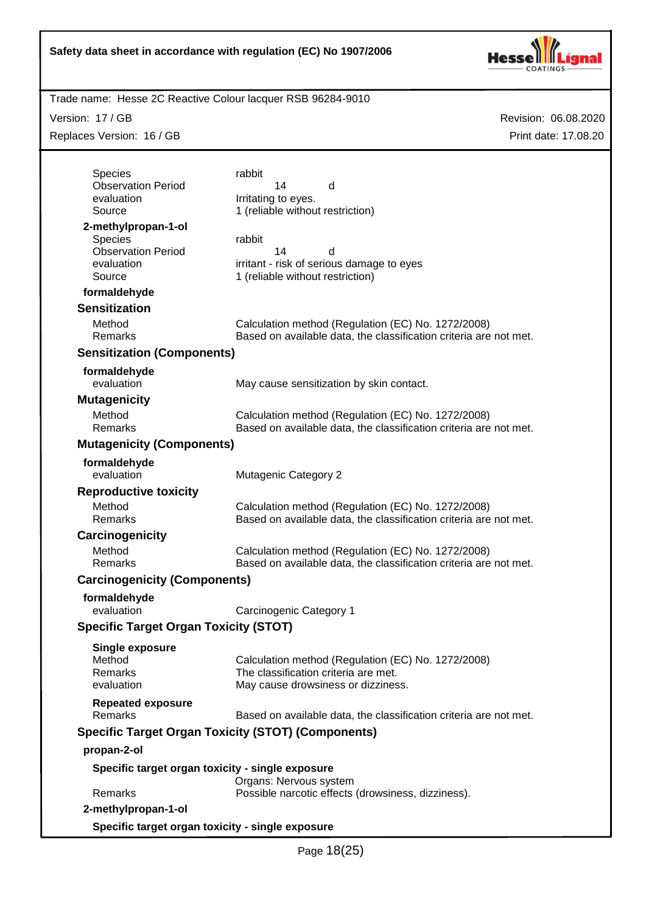

Trade name: Hesse 2C Reactive Colour lacquer RSB 96284-9010

Version: 17 / GB

Replaces Version: 16 / GB

| <b>Species</b>                                   | rabbit                                                                                                                  |
|--------------------------------------------------|-------------------------------------------------------------------------------------------------------------------------|
| <b>Observation Period</b><br>evaluation          | 14<br>d<br>Irritating to eyes.                                                                                          |
| Source                                           | 1 (reliable without restriction)                                                                                        |
| 2-methylpropan-1-ol                              |                                                                                                                         |
| <b>Species</b>                                   | rabbit                                                                                                                  |
| <b>Observation Period</b>                        | 14<br>d                                                                                                                 |
| evaluation<br>Source                             | irritant - risk of serious damage to eyes<br>1 (reliable without restriction)                                           |
| formaldehyde                                     |                                                                                                                         |
| <b>Sensitization</b>                             |                                                                                                                         |
| Method                                           | Calculation method (Regulation (EC) No. 1272/2008)                                                                      |
| Remarks                                          | Based on available data, the classification criteria are not met.                                                       |
| <b>Sensitization (Components)</b>                |                                                                                                                         |
| formaldehyde                                     |                                                                                                                         |
| evaluation                                       | May cause sensitization by skin contact.                                                                                |
| <b>Mutagenicity</b>                              |                                                                                                                         |
| Method                                           | Calculation method (Regulation (EC) No. 1272/2008)                                                                      |
| Remarks                                          | Based on available data, the classification criteria are not met.                                                       |
| <b>Mutagenicity (Components)</b>                 |                                                                                                                         |
| formaldehyde                                     |                                                                                                                         |
| evaluation                                       | <b>Mutagenic Category 2</b>                                                                                             |
| <b>Reproductive toxicity</b>                     |                                                                                                                         |
| Method<br>Remarks                                | Calculation method (Regulation (EC) No. 1272/2008)<br>Based on available data, the classification criteria are not met. |
| Carcinogenicity                                  |                                                                                                                         |
| Method                                           | Calculation method (Regulation (EC) No. 1272/2008)                                                                      |
| Remarks                                          | Based on available data, the classification criteria are not met.                                                       |
| <b>Carcinogenicity (Components)</b>              |                                                                                                                         |
| formaldehyde                                     |                                                                                                                         |
| evaluation                                       | Carcinogenic Category 1                                                                                                 |
| <b>Specific Target Organ Toxicity (STOT)</b>     |                                                                                                                         |
| Single exposure                                  |                                                                                                                         |
| Method                                           | Calculation method (Regulation (EC) No. 1272/2008)                                                                      |
| Remarks<br>evaluation                            | The classification criteria are met.<br>May cause drowsiness or dizziness.                                              |
|                                                  |                                                                                                                         |
| <b>Repeated exposure</b><br>Remarks              | Based on available data, the classification criteria are not met.                                                       |
|                                                  | <b>Specific Target Organ Toxicity (STOT) (Components)</b>                                                               |
| propan-2-ol                                      |                                                                                                                         |
|                                                  |                                                                                                                         |
|                                                  |                                                                                                                         |
| Specific target organ toxicity - single exposure |                                                                                                                         |
| Remarks                                          | Organs: Nervous system<br>Possible narcotic effects (drowsiness, dizziness).                                            |
| 2-methylpropan-1-ol                              |                                                                                                                         |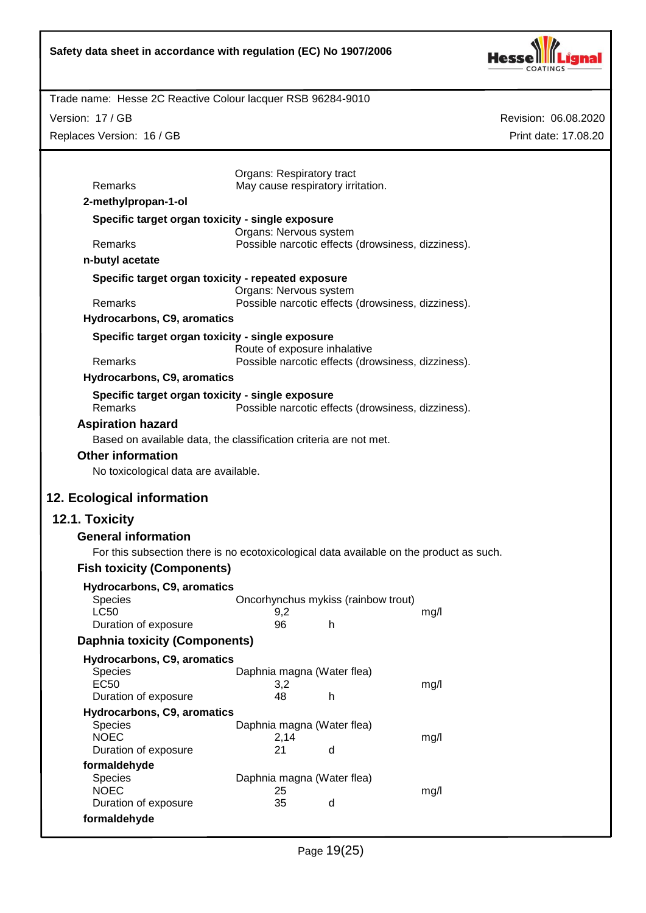

Revision: 06.08.2020

Print date: 17.08.20

Trade name: Hesse 2C Reactive Colour lacquer RSB 96284-9010

Version: 17 / GB

Replaces Version: 16 / GB

| Remarks                                                                                       | Organs: Respiratory tract<br>May cause respiratory irritation. |                                                    |      |  |
|-----------------------------------------------------------------------------------------------|----------------------------------------------------------------|----------------------------------------------------|------|--|
| 2-methylpropan-1-ol                                                                           |                                                                |                                                    |      |  |
| Specific target organ toxicity - single exposure                                              |                                                                |                                                    |      |  |
|                                                                                               | Organs: Nervous system                                         |                                                    |      |  |
| Remarks                                                                                       |                                                                | Possible narcotic effects (drowsiness, dizziness). |      |  |
| n-butyl acetate                                                                               |                                                                |                                                    |      |  |
| Specific target organ toxicity - repeated exposure                                            | Organs: Nervous system                                         |                                                    |      |  |
| Remarks                                                                                       |                                                                | Possible narcotic effects (drowsiness, dizziness). |      |  |
| Hydrocarbons, C9, aromatics                                                                   |                                                                |                                                    |      |  |
| Specific target organ toxicity - single exposure                                              | Route of exposure inhalative                                   |                                                    |      |  |
| Remarks                                                                                       |                                                                | Possible narcotic effects (drowsiness, dizziness). |      |  |
| Hydrocarbons, C9, aromatics                                                                   |                                                                |                                                    |      |  |
| Specific target organ toxicity - single exposure<br>Remarks                                   |                                                                | Possible narcotic effects (drowsiness, dizziness). |      |  |
| <b>Aspiration hazard</b><br>Based on available data, the classification criteria are not met. |                                                                |                                                    |      |  |
| <b>Other information</b>                                                                      |                                                                |                                                    |      |  |
| No toxicological data are available.                                                          |                                                                |                                                    |      |  |
|                                                                                               |                                                                |                                                    |      |  |
| 12. Ecological information                                                                    |                                                                |                                                    |      |  |
| 12.1. Toxicity                                                                                |                                                                |                                                    |      |  |
| <b>General information</b>                                                                    |                                                                |                                                    |      |  |
| For this subsection there is no ecotoxicological data available on the product as such.       |                                                                |                                                    |      |  |
| <b>Fish toxicity (Components)</b>                                                             |                                                                |                                                    |      |  |
| Hydrocarbons, C9, aromatics                                                                   |                                                                |                                                    |      |  |
| Species                                                                                       |                                                                | Oncorhynchus mykiss (rainbow trout)                |      |  |
| <b>LC50</b>                                                                                   | 9,2                                                            |                                                    | mg/l |  |
| Duration of exposure                                                                          | 96                                                             | h                                                  |      |  |
| <b>Daphnia toxicity (Components)</b>                                                          |                                                                |                                                    |      |  |
| Hydrocarbons, C9, aromatics                                                                   |                                                                |                                                    |      |  |
| <b>Species</b><br><b>EC50</b>                                                                 | Daphnia magna (Water flea)<br>3,2                              |                                                    | mg/l |  |
| Duration of exposure                                                                          | 48                                                             | h                                                  |      |  |
| Hydrocarbons, C9, aromatics                                                                   |                                                                |                                                    |      |  |
| Species<br><b>NOEC</b>                                                                        | Daphnia magna (Water flea)<br>2,14                             |                                                    | mg/l |  |
| Duration of exposure                                                                          | 21                                                             | d                                                  |      |  |
| formaldehyde                                                                                  |                                                                |                                                    |      |  |
| Species                                                                                       | Daphnia magna (Water flea)                                     |                                                    |      |  |
| <b>NOEC</b>                                                                                   | 25                                                             |                                                    | mg/l |  |
|                                                                                               |                                                                |                                                    |      |  |
| Duration of exposure<br>formaldehyde                                                          | 35                                                             | d                                                  |      |  |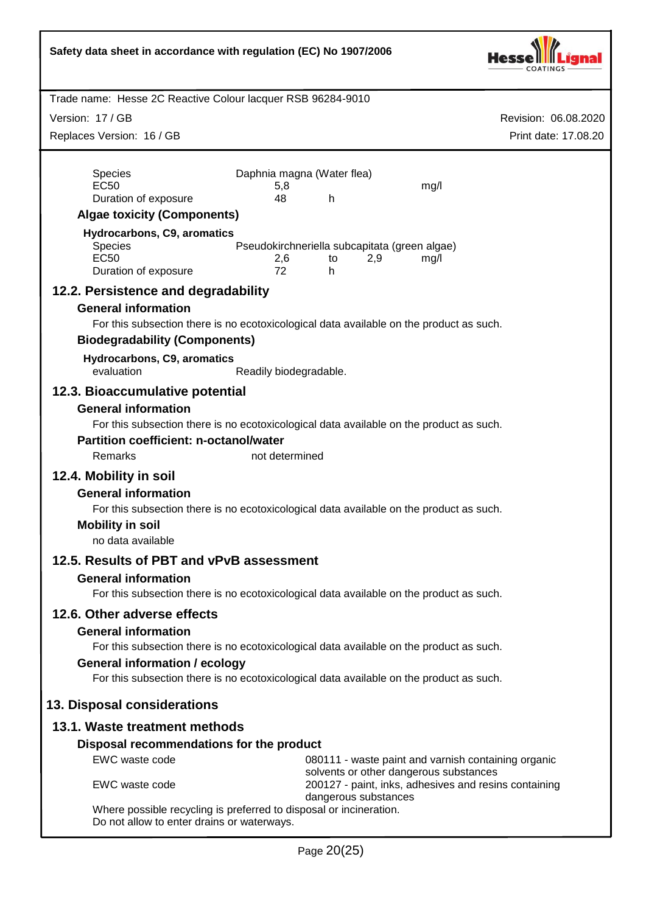| Safety data sheet in accordance with regulation (EC) No 1907/2006 |                                                                                                 |                      |  |  |  |
|-------------------------------------------------------------------|-------------------------------------------------------------------------------------------------|----------------------|--|--|--|
| Trade name: Hesse 2C Reactive Colour lacquer RSB 96284-9010       |                                                                                                 |                      |  |  |  |
| Version: 17 / GB                                                  |                                                                                                 | Revision: 06.08.2020 |  |  |  |
| Replaces Version: 16 / GB                                         |                                                                                                 | Print date: 17.08.20 |  |  |  |
|                                                                   |                                                                                                 |                      |  |  |  |
| Species<br><b>EC50</b>                                            | Daphnia magna (Water flea)<br>mg/l<br>5,8                                                       |                      |  |  |  |
| Duration of exposure                                              | 48<br>h                                                                                         |                      |  |  |  |
| <b>Algae toxicity (Components)</b>                                |                                                                                                 |                      |  |  |  |
| Hydrocarbons, C9, aromatics                                       |                                                                                                 |                      |  |  |  |
| Species<br><b>EC50</b>                                            | Pseudokirchneriella subcapitata (green algae)<br>2,6<br>2,9<br>mg/l<br>to                       |                      |  |  |  |
| Duration of exposure                                              | 72<br>h                                                                                         |                      |  |  |  |
| 12.2. Persistence and degradability                               |                                                                                                 |                      |  |  |  |
| <b>General information</b>                                        |                                                                                                 |                      |  |  |  |
|                                                                   | For this subsection there is no ecotoxicological data available on the product as such.         |                      |  |  |  |
| <b>Biodegradability (Components)</b>                              |                                                                                                 |                      |  |  |  |
| Hydrocarbons, C9, aromatics<br>evaluation                         | Readily biodegradable.                                                                          |                      |  |  |  |
| 12.3. Bioaccumulative potential                                   |                                                                                                 |                      |  |  |  |
| <b>General information</b>                                        |                                                                                                 |                      |  |  |  |
|                                                                   | For this subsection there is no ecotoxicological data available on the product as such.         |                      |  |  |  |
| <b>Partition coefficient: n-octanol/water</b>                     |                                                                                                 |                      |  |  |  |
| Remarks                                                           | not determined                                                                                  |                      |  |  |  |
| 12.4. Mobility in soil<br><b>General information</b>              |                                                                                                 |                      |  |  |  |
|                                                                   | For this subsection there is no ecotoxicological data available on the product as such.         |                      |  |  |  |
| <b>Mobility in soil</b>                                           |                                                                                                 |                      |  |  |  |
| no data available                                                 |                                                                                                 |                      |  |  |  |
| 12.5. Results of PBT and vPvB assessment                          |                                                                                                 |                      |  |  |  |
| <b>General information</b>                                        |                                                                                                 |                      |  |  |  |
|                                                                   | For this subsection there is no ecotoxicological data available on the product as such.         |                      |  |  |  |
| 12.6. Other adverse effects                                       |                                                                                                 |                      |  |  |  |
| <b>General information</b>                                        | For this subsection there is no ecotoxicological data available on the product as such.         |                      |  |  |  |
| <b>General information / ecology</b>                              |                                                                                                 |                      |  |  |  |
|                                                                   | For this subsection there is no ecotoxicological data available on the product as such.         |                      |  |  |  |
| 13. Disposal considerations                                       |                                                                                                 |                      |  |  |  |
| 13.1. Waste treatment methods                                     |                                                                                                 |                      |  |  |  |
| Disposal recommendations for the product                          |                                                                                                 |                      |  |  |  |
| EWC waste code                                                    | 080111 - waste paint and varnish containing organic                                             |                      |  |  |  |
| EWC waste code                                                    | solvents or other dangerous substances<br>200127 - paint, inks, adhesives and resins containing |                      |  |  |  |
| Do not allow to enter drains or waterways.                        | dangerous substances<br>Where possible recycling is preferred to disposal or incineration.      |                      |  |  |  |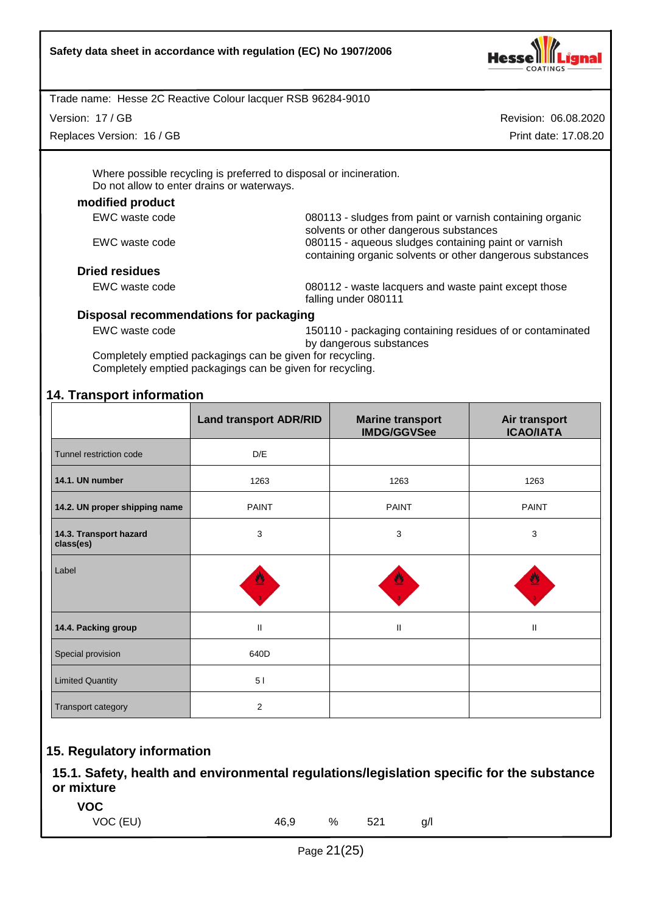

Version: 17 / GB

Replaces Version: 16 / GB

Revision: 06.08.2020 Print date: 17.08.20

Where possible recycling is preferred to disposal or incineration. Do not allow to enter drains or waterways.

#### **modified product**

| EWC waste code        | 080113 - sludges from paint or varnish containing organic<br>solvents or other dangerous substances               |  |
|-----------------------|-------------------------------------------------------------------------------------------------------------------|--|
| EWC waste code        | 080115 - aqueous sludges containing paint or varnish<br>containing organic solvents or other dangerous substances |  |
| <b>Dried residues</b> |                                                                                                                   |  |
| EWC waste code        | 080112 - waste lacquers and waste paint except those                                                              |  |

falling under 080111

## **Disposal recommendations for packaging**

EWC waste code 150110 - packaging containing residues of or contaminated by dangerous substances

Completely emptied packagings can be given for recycling. Completely emptied packagings can be given for recycling.

# **14. Transport information**

|                                     | <b>Land transport ADR/RID</b> | <b>Marine transport</b><br><b>IMDG/GGVSee</b> | Air transport<br><b>ICAO/IATA</b> |
|-------------------------------------|-------------------------------|-----------------------------------------------|-----------------------------------|
| Tunnel restriction code             | D/E                           |                                               |                                   |
| 14.1. UN number                     | 1263                          | 1263                                          | 1263                              |
| 14.2. UN proper shipping name       | <b>PAINT</b>                  | <b>PAINT</b>                                  | <b>PAINT</b>                      |
| 14.3. Transport hazard<br>class(es) | 3                             | $\mathbf{3}$                                  | 3                                 |
| Label                               | 뿰                             |                                               |                                   |
| 14.4. Packing group                 | $\mathbf{II}$                 | Ш                                             | $\mathbf{I}$                      |
| Special provision                   | 640D                          |                                               |                                   |
| <b>Limited Quantity</b>             | 51                            |                                               |                                   |
| Transport category                  | 2                             |                                               |                                   |

# **15. Regulatory information**

**15.1. Safety, health and environmental regulations/legislation specific for the substance or mixture**

**VOC**

VOC (EU) 46,9 % 521 g/l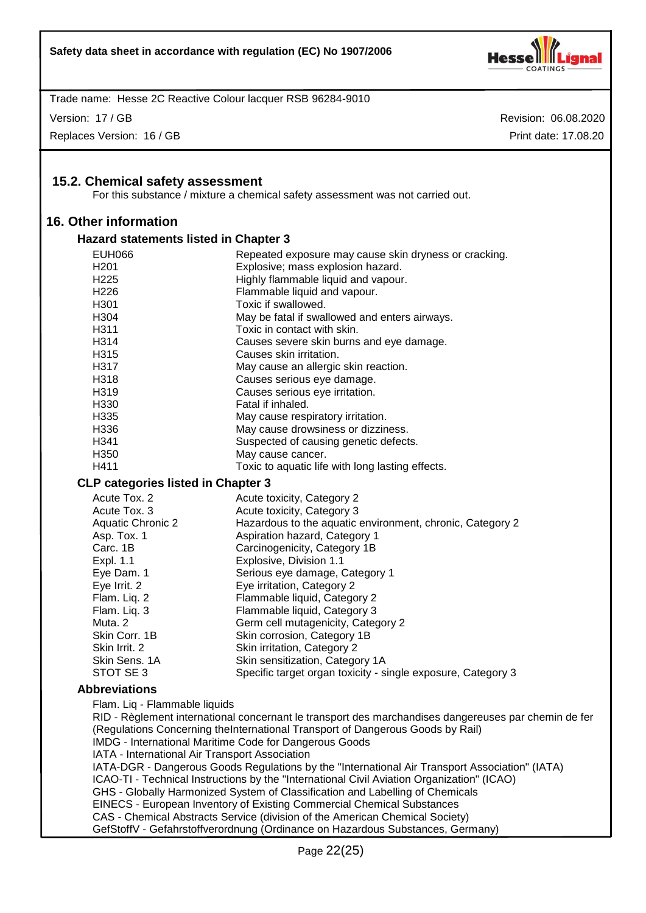

Version: 17 / GB

Replaces Version: 16 / GB

Revision: 06.08.2020 Print date: 17.08.20

## **15.2. Chemical safety assessment**

For this substance / mixture a chemical safety assessment was not carried out.

## **16. Other information**

#### **Hazard statements listed in Chapter 3**

| <b>EUH066</b>     | Repeated exposure may cause skin dryness or cracking. |
|-------------------|-------------------------------------------------------|
| H <sub>201</sub>  | Explosive; mass explosion hazard.                     |
| H <sub>225</sub>  | Highly flammable liquid and vapour.                   |
| H <sub>226</sub>  | Flammable liquid and vapour.                          |
| H <sub>301</sub>  | Toxic if swallowed.                                   |
| H <sub>304</sub>  | May be fatal if swallowed and enters airways.         |
| H <sub>3</sub> 11 | Toxic in contact with skin.                           |
| H <sub>3</sub> 14 | Causes severe skin burns and eye damage.              |
| H <sub>315</sub>  | Causes skin irritation.                               |
| H <sub>3</sub> 17 | May cause an allergic skin reaction.                  |
| H <sub>318</sub>  | Causes serious eye damage.                            |
| H <sub>3</sub> 19 | Causes serious eye irritation.                        |
| H <sub>330</sub>  | Fatal if inhaled.                                     |
| H <sub>335</sub>  | May cause respiratory irritation.                     |
| H336              | May cause drowsiness or dizziness.                    |
| H <sub>341</sub>  | Suspected of causing genetic defects.                 |
| H <sub>350</sub>  | May cause cancer.                                     |
| H411              | Toxic to aquatic life with long lasting effects.      |

#### **CLP categories listed in Chapter 3**

| Acute Tox, 2      | Acute toxicity, Category 2                                   |
|-------------------|--------------------------------------------------------------|
| Acute Tox, 3      | Acute toxicity, Category 3                                   |
| Aquatic Chronic 2 | Hazardous to the aquatic environment, chronic, Category 2    |
| Asp. Tox. 1       | Aspiration hazard, Category 1                                |
| Carc. 1B          | Carcinogenicity, Category 1B                                 |
| Expl. 1.1         | Explosive, Division 1.1                                      |
| Eye Dam. 1        | Serious eye damage, Category 1                               |
| Eye Irrit. 2      | Eye irritation, Category 2                                   |
| Flam. Liq. 2      | Flammable liquid, Category 2                                 |
| Flam. Liq. 3      | Flammable liquid, Category 3                                 |
| Muta. 2           | Germ cell mutagenicity, Category 2                           |
| Skin Corr. 1B     | Skin corrosion, Category 1B                                  |
| Skin Irrit. 2     | Skin irritation, Category 2                                  |
| Skin Sens. 1A     | Skin sensitization, Category 1A                              |
| STOT SE3          | Specific target organ toxicity - single exposure, Category 3 |

#### **Abbreviations**

Flam. Liq - Flammable liquids

RID - Règlement international concernant le transport des marchandises dangereuses par chemin de fer (Regulations Concerning theInternational Transport of Dangerous Goods by Rail) IMDG - International Maritime Code for Dangerous Goods IATA - International Air Transport Association IATA-DGR - Dangerous Goods Regulations by the "International Air Transport Association" (IATA) ICAO-TI - Technical Instructions by the "International Civil Aviation Organization" (ICAO) GHS - Globally Harmonized System of Classification and Labelling of Chemicals EINECS - European Inventory of Existing Commercial Chemical Substances CAS - Chemical Abstracts Service (division of the American Chemical Society) GefStoffV - Gefahrstoffverordnung (Ordinance on Hazardous Substances, Germany)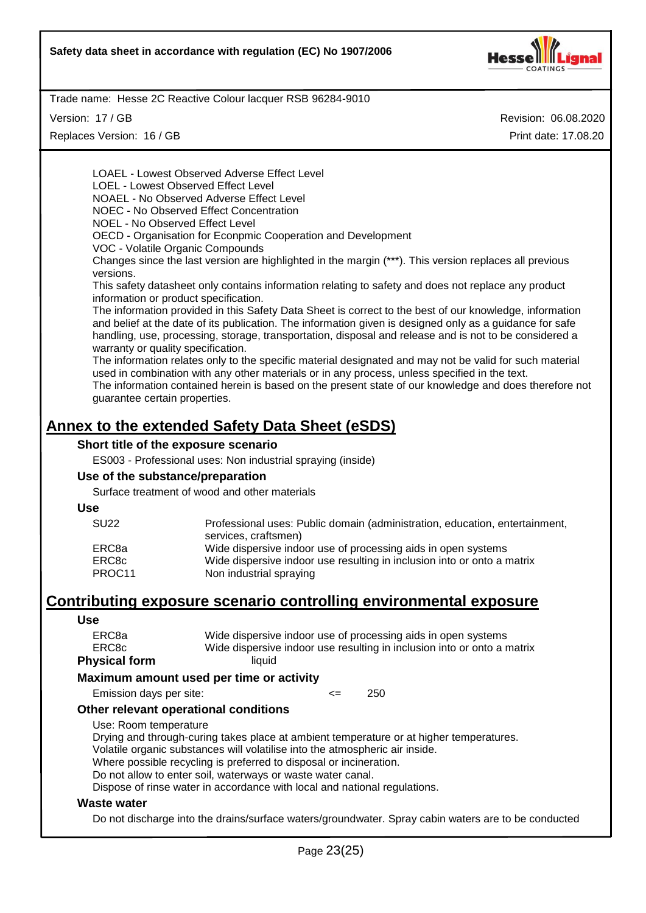

Version: 17 / GB

Replaces Version: 16 / GB

Revision: 06.08.2020 Print date: 17.08.20

LOAEL - Lowest Observed Adverse Effect Level LOEL - Lowest Observed Effect Level NOAEL - No Observed Adverse Effect Level NOEC - No Observed Effect Concentration NOEL - No Observed Effect Level OECD - Organisation for Econpmic Cooperation and Development VOC - Volatile Organic Compounds Changes since the last version are highlighted in the margin (\*\*\*). This version replaces all previous versions. This safety datasheet only contains information relating to safety and does not replace any product information or product specification. The information provided in this Safety Data Sheet is correct to the best of our knowledge, information and belief at the date of its publication. The information given is designed only as a guidance for safe handling, use, processing, storage, transportation, disposal and release and is not to be considered a warranty or quality specification. The information relates only to the specific material designated and may not be valid for such material used in combination with any other materials or in any process, unless specified in the text. The information contained herein is based on the present state of our knowledge and does therefore not guarantee certain properties.

# **Annex to the extended Safety Data Sheet (eSDS)**

## **Short title of the exposure scenario**

ES003 - Professional uses: Non industrial spraying (inside)

#### **Use of the substance/preparation**

Surface treatment of wood and other materials

#### **Use**

| <b>SU22</b> | Professional uses: Public domain (administration, education, entertainment, |
|-------------|-----------------------------------------------------------------------------|
|             | services, craftsmen)                                                        |
| ERC8a       | Wide dispersive indoor use of processing aids in open systems               |
| ERC8c       | Wide dispersive indoor use resulting in inclusion into or onto a matrix     |
| PROC11      | Non industrial spraying                                                     |

# **Contributing exposure scenario controlling environmental exposure**

#### **Use**

| <b>Physical form</b> | liauid                                                                  |
|----------------------|-------------------------------------------------------------------------|
| ERC8c                | Wide dispersive indoor use resulting in inclusion into or onto a matrix |
| ERC8a                | Wide dispersive indoor use of processing aids in open systems           |
|                      |                                                                         |

#### **Maximum amount used per time or activity**

Emission days per site:  $\leq$  250

#### **Other relevant operational conditions**

Use: Room temperature

Drying and through-curing takes place at ambient temperature or at higher temperatures. Volatile organic substances will volatilise into the atmospheric air inside.

Where possible recycling is preferred to disposal or incineration.

Do not allow to enter soil, waterways or waste water canal.

Dispose of rinse water in accordance with local and national regulations.

#### **Waste water**

Do not discharge into the drains/surface waters/groundwater. Spray cabin waters are to be conducted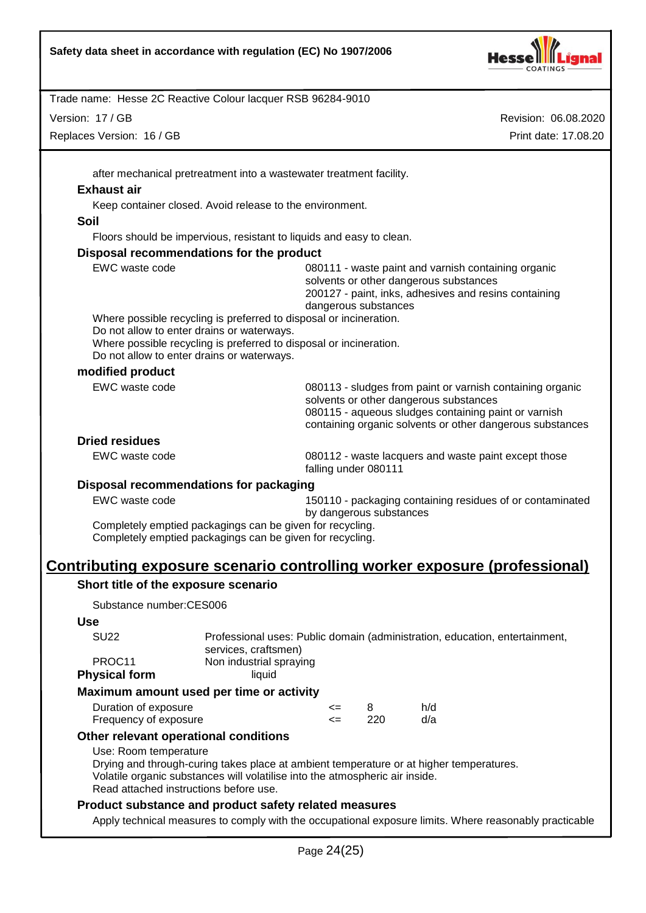

Version: 17 / GB

Replaces Version: 16 / GB

Revision: 06.08.2020 Print date: 17.08.20

after mechanical pretreatment into a wastewater treatment facility.

#### **Exhaust air**

Keep container closed. Avoid release to the environment.

#### **Soil**

Floors should be impervious, resistant to liquids and easy to clean.

#### **Disposal recommendations for the product**

| EWC waste code                                                     | 080111 - waste paint and varnish containing organic<br>solvents or other dangerous substances<br>200127 - paint, inks, adhesives and resins containing<br>dangerous substances                                           |  |
|--------------------------------------------------------------------|--------------------------------------------------------------------------------------------------------------------------------------------------------------------------------------------------------------------------|--|
| Where possible recycling is preferred to disposal or incineration. |                                                                                                                                                                                                                          |  |
| Do not allow to enter drains or waterways.                         |                                                                                                                                                                                                                          |  |
| Where possible recycling is preferred to disposal or incineration. |                                                                                                                                                                                                                          |  |
| Do not allow to enter drains or waterways.                         |                                                                                                                                                                                                                          |  |
| modified product                                                   |                                                                                                                                                                                                                          |  |
| EWC waste code                                                     | 080113 - sludges from paint or varnish containing organic<br>solvents or other dangerous substances<br>080115 - aqueous sludges containing paint or varnish<br>containing organic solvents or other dangerous substances |  |
| <b>Dried residues</b>                                              |                                                                                                                                                                                                                          |  |
| EWC waste code                                                     | 080112 - waste lacquers and waste paint except those<br>falling under 080111                                                                                                                                             |  |

## **Disposal recommendations for packaging**

| EWC waste code |  | 150110 - packaging containing residues of or contaminated |
|----------------|--|-----------------------------------------------------------|
|                |  | by dangerous substances                                   |

Completely emptied packagings can be given for recycling. Completely emptied packagings can be given for recycling.

# **Contributing exposure scenario controlling worker exposure (professional)**

## **Short title of the exposure scenario**

Substance number:CES006

#### **Use**

| SU <sub>22</sub>     | Professional uses: Public domain (administration, education, entertainment, |
|----------------------|-----------------------------------------------------------------------------|
|                      | services, craftsmen)                                                        |
| PROC <sub>11</sub>   | Non industrial spraying                                                     |
| <b>Physical form</b> | liauid                                                                      |

#### **Maximum amount used per time or activity**

| Duration of exposure  | <=   |      | h/d |
|-----------------------|------|------|-----|
| Frequency of exposure | <= ⊺ | -220 | d/a |

## **Other relevant operational conditions**

Use: Room temperature

Drying and through-curing takes place at ambient temperature or at higher temperatures. Volatile organic substances will volatilise into the atmospheric air inside. Read attached instructions before use.

## **Product substance and product safety related measures**

Apply technical measures to comply with the occupational exposure limits. Where reasonably practicable